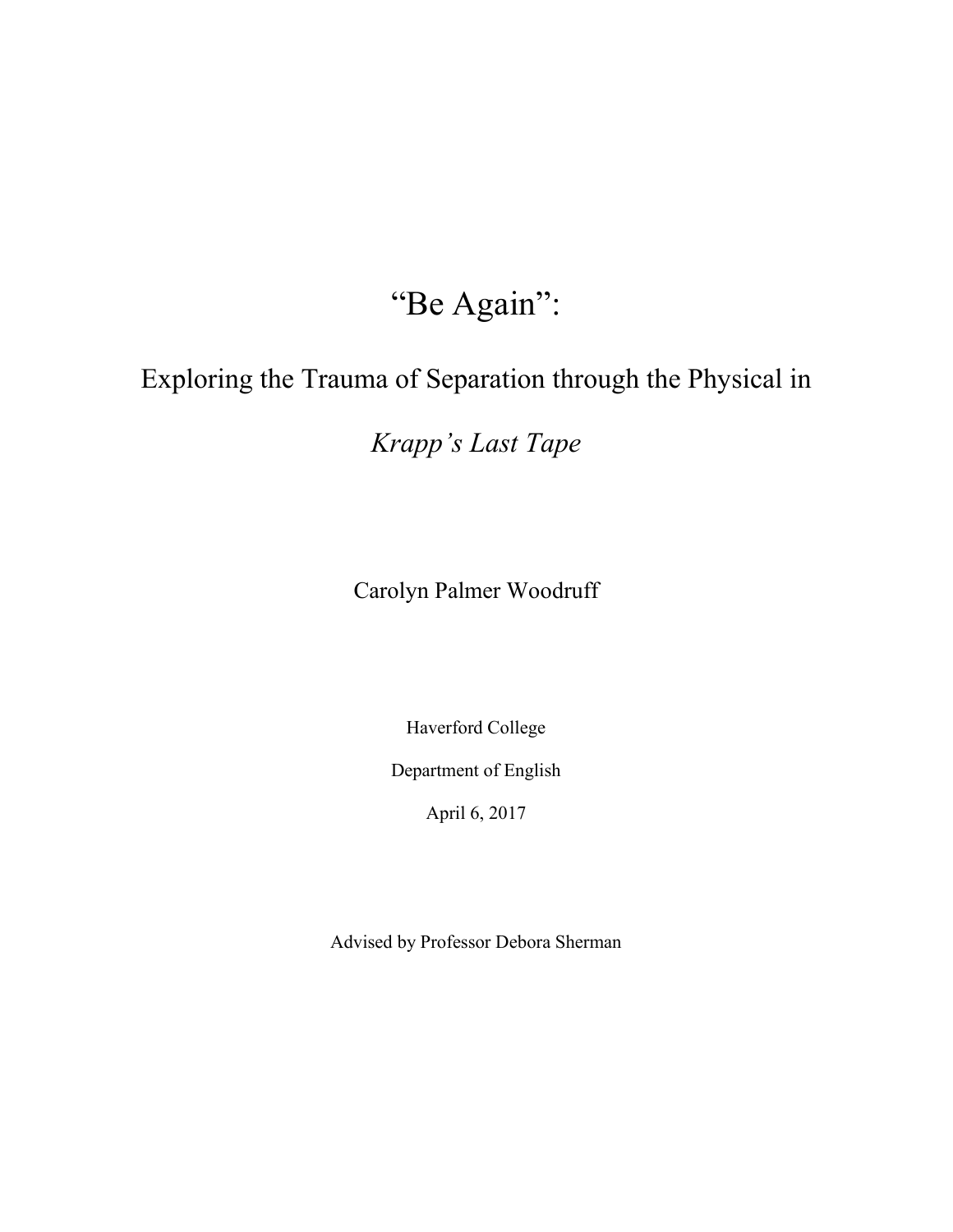## "Be Again":

## Exploring the Trauma of Separation through the Physical in

*Krapp's Last Tape*

Carolyn Palmer Woodruff

Haverford College

Department of English

April 6, 2017

Advised by Professor Debora Sherman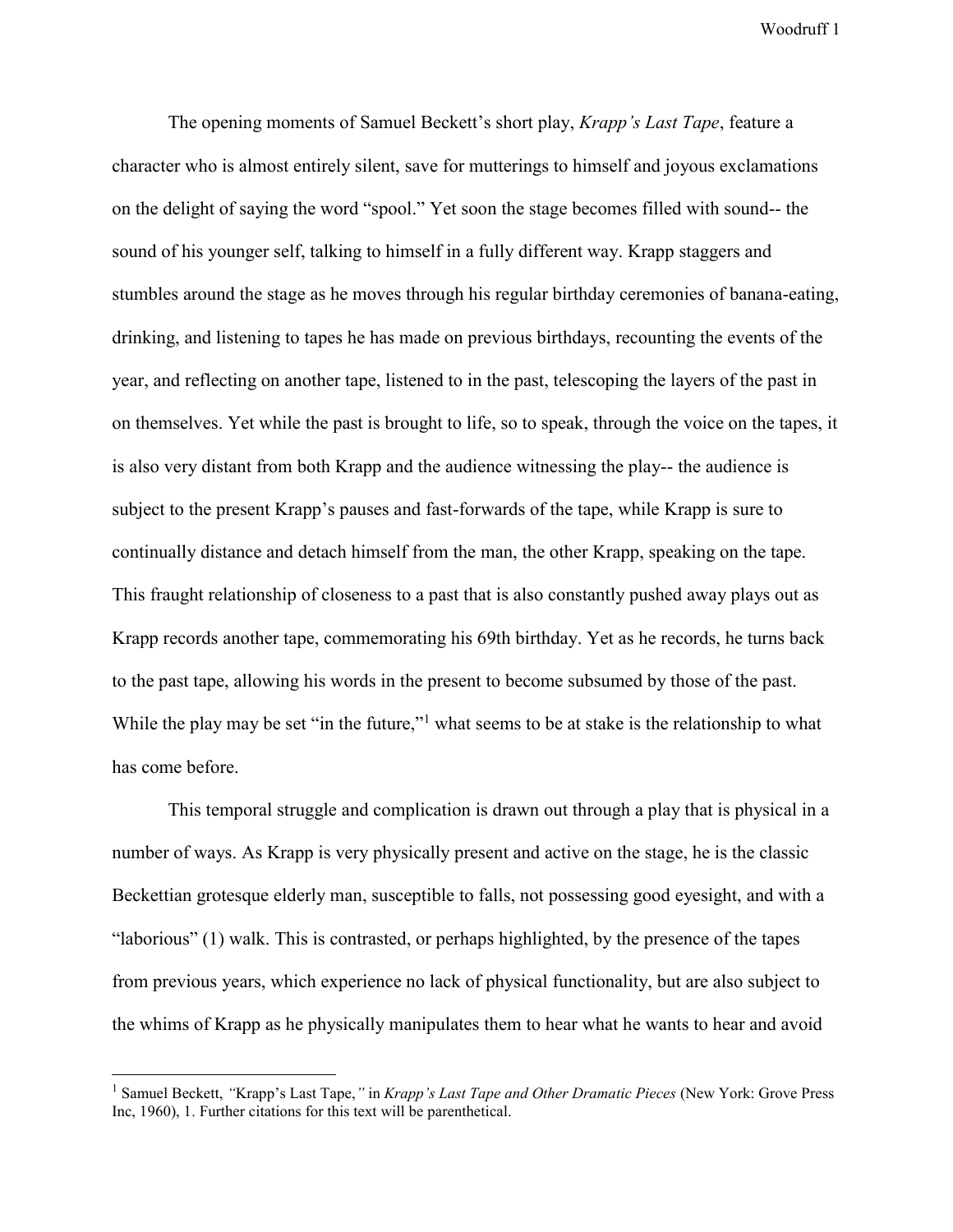The opening moments of Samuel Beckett's short play, *Krapp's Last Tape*, feature a character who is almost entirely silent, save for mutterings to himself and joyous exclamations on the delight of saying the word "spool." Yet soon the stage becomes filled with sound-- the sound of his younger self, talking to himself in a fully different way. Krapp staggers and stumbles around the stage as he moves through his regular birthday ceremonies of banana-eating, drinking, and listening to tapes he has made on previous birthdays, recounting the events of the year, and reflecting on another tape, listened to in the past, telescoping the layers of the past in on themselves. Yet while the past is brought to life, so to speak, through the voice on the tapes, it is also very distant from both Krapp and the audience witnessing the play-- the audience is subject to the present Krapp's pauses and fast-forwards of the tape, while Krapp is sure to continually distance and detach himself from the man, the other Krapp, speaking on the tape. This fraught relationship of closeness to a past that is also constantly pushed away plays out as Krapp records another tape, commemorating his 69th birthday. Yet as he records, he turns back to the past tape, allowing his words in the present to become subsumed by those of the past. While the play may be set "in the future,"<sup>1</sup> what seems to be at stake is the relationship to what has come before.

This temporal struggle and complication is drawn out through a play that is physical in a number of ways. As Krapp is very physically present and active on the stage, he is the classic Beckettian grotesque elderly man, susceptible to falls, not possessing good eyesight, and with a "laborious" (1) walk. This is contrasted, or perhaps highlighted, by the presence of the tapes from previous years, which experience no lack of physical functionality, but are also subject to the whims of Krapp as he physically manipulates them to hear what he wants to hear and avoid

<sup>1</sup> Samuel Beckett, *"*Krapp's Last Tape,*"* in *Krapp's Last Tape and Other Dramatic Pieces* (New York: Grove Press Inc, 1960), 1. Further citations for this text will be parenthetical.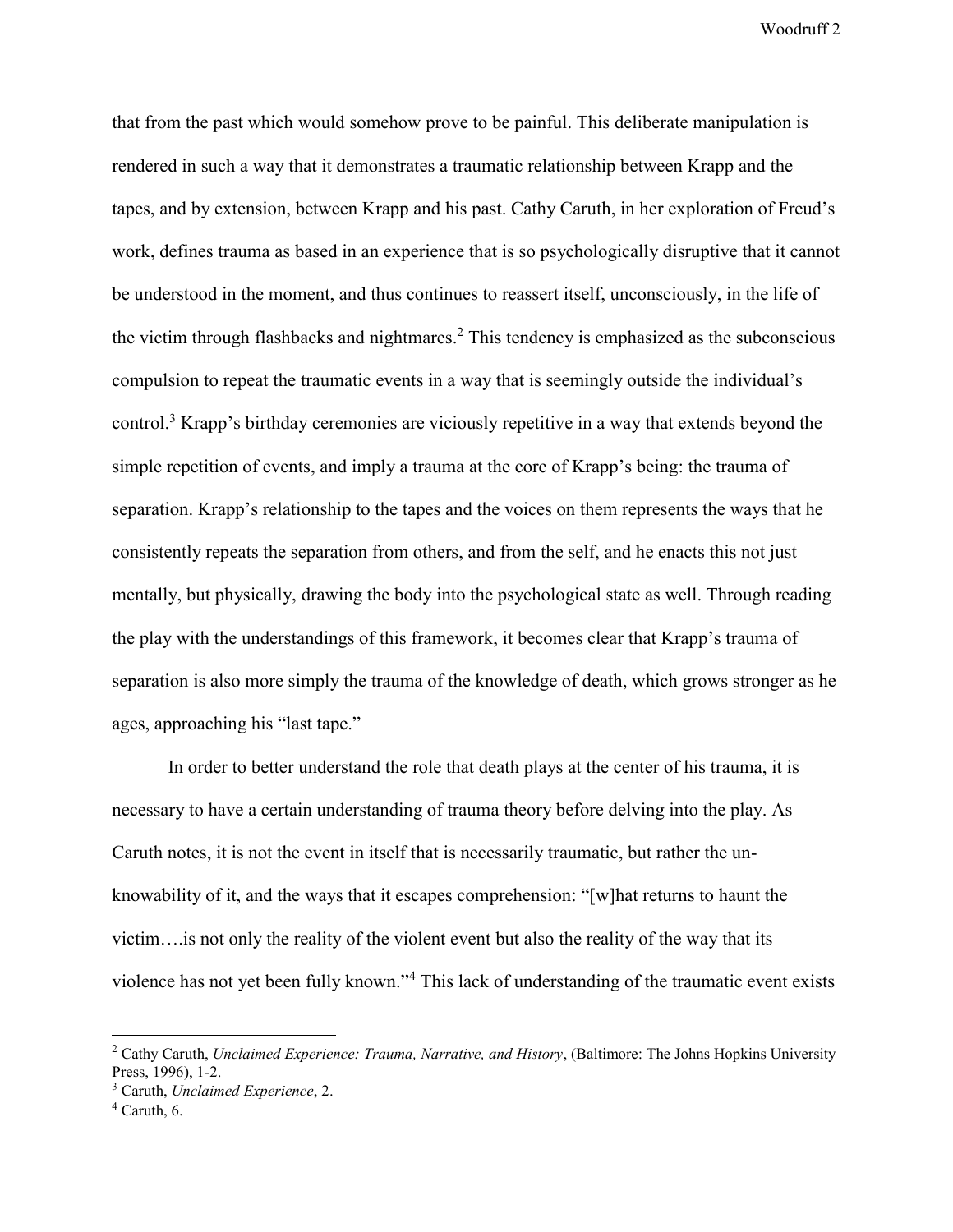that from the past which would somehow prove to be painful. This deliberate manipulation is rendered in such a way that it demonstrates a traumatic relationship between Krapp and the tapes, and by extension, between Krapp and his past. Cathy Caruth, in her exploration of Freud's work, defines trauma as based in an experience that is so psychologically disruptive that it cannot be understood in the moment, and thus continues to reassert itself, unconsciously, in the life of the victim through flashbacks and nightmares.<sup>2</sup> This tendency is emphasized as the subconscious compulsion to repeat the traumatic events in a way that is seemingly outside the individual's control.<sup>3</sup> Krapp's birthday ceremonies are viciously repetitive in a way that extends beyond the simple repetition of events, and imply a trauma at the core of Krapp's being: the trauma of separation. Krapp's relationship to the tapes and the voices on them represents the ways that he consistently repeats the separation from others, and from the self, and he enacts this not just mentally, but physically, drawing the body into the psychological state as well. Through reading the play with the understandings of this framework, it becomes clear that Krapp's trauma of separation is also more simply the trauma of the knowledge of death, which grows stronger as he ages, approaching his "last tape."

In order to better understand the role that death plays at the center of his trauma, it is necessary to have a certain understanding of trauma theory before delving into the play. As Caruth notes, it is not the event in itself that is necessarily traumatic, but rather the unknowability of it, and the ways that it escapes comprehension: "[w]hat returns to haunt the victim….is not only the reality of the violent event but also the reality of the way that its violence has not yet been fully known."<sup>4</sup> This lack of understanding of the traumatic event exists

<sup>2</sup> Cathy Caruth, *Unclaimed Experience: Trauma, Narrative, and History*, (Baltimore: The Johns Hopkins University Press, 1996), 1-2.

<sup>3</sup> Caruth, *Unclaimed Experience*, 2.

 $4$  Caruth, 6.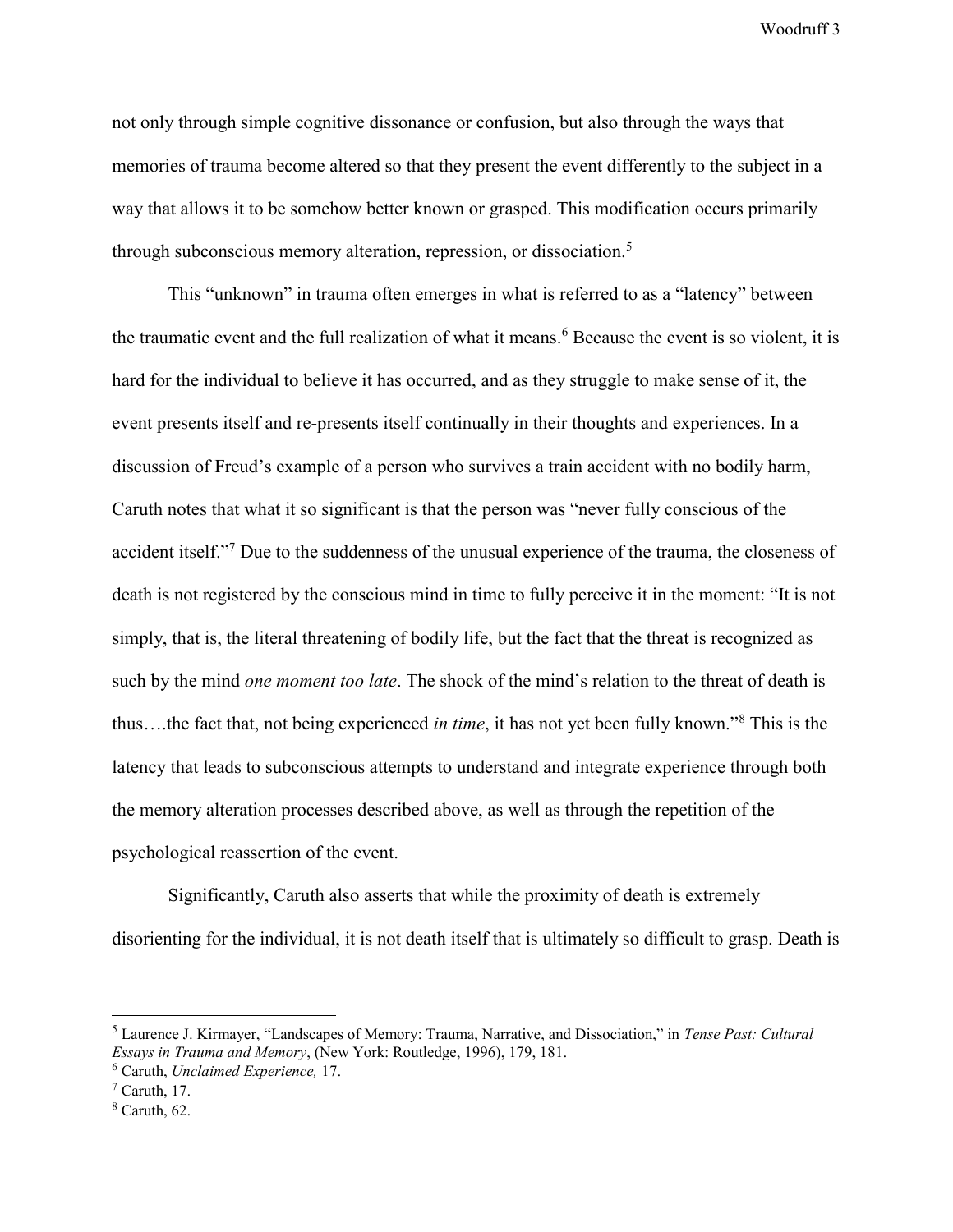not only through simple cognitive dissonance or confusion, but also through the ways that memories of trauma become altered so that they present the event differently to the subject in a way that allows it to be somehow better known or grasped. This modification occurs primarily through subconscious memory alteration, repression, or dissociation.<sup>5</sup>

This "unknown" in trauma often emerges in what is referred to as a "latency" between the traumatic event and the full realization of what it means.<sup>6</sup> Because the event is so violent, it is hard for the individual to believe it has occurred, and as they struggle to make sense of it, the event presents itself and re-presents itself continually in their thoughts and experiences. In a discussion of Freud's example of a person who survives a train accident with no bodily harm, Caruth notes that what it so significant is that the person was "never fully conscious of the accident itself."<sup>7</sup> Due to the suddenness of the unusual experience of the trauma, the closeness of death is not registered by the conscious mind in time to fully perceive it in the moment: "It is not simply, that is, the literal threatening of bodily life, but the fact that the threat is recognized as such by the mind *one moment too late*. The shock of the mind's relation to the threat of death is thus….the fact that, not being experienced *in time*, it has not yet been fully known."<sup>8</sup> This is the latency that leads to subconscious attempts to understand and integrate experience through both the memory alteration processes described above, as well as through the repetition of the psychological reassertion of the event.

Significantly, Caruth also asserts that while the proximity of death is extremely disorienting for the individual, it is not death itself that is ultimately so difficult to grasp. Death is

<sup>5</sup> Laurence J. Kirmayer, "Landscapes of Memory: Trauma, Narrative, and Dissociation," in *Tense Past: Cultural Essays in Trauma and Memory*, (New York: Routledge, 1996), 179, 181.

<sup>6</sup> Caruth, *Unclaimed Experience,* 17.

 $<sup>7</sup>$  Caruth, 17.</sup>

 $8$  Caruth, 62.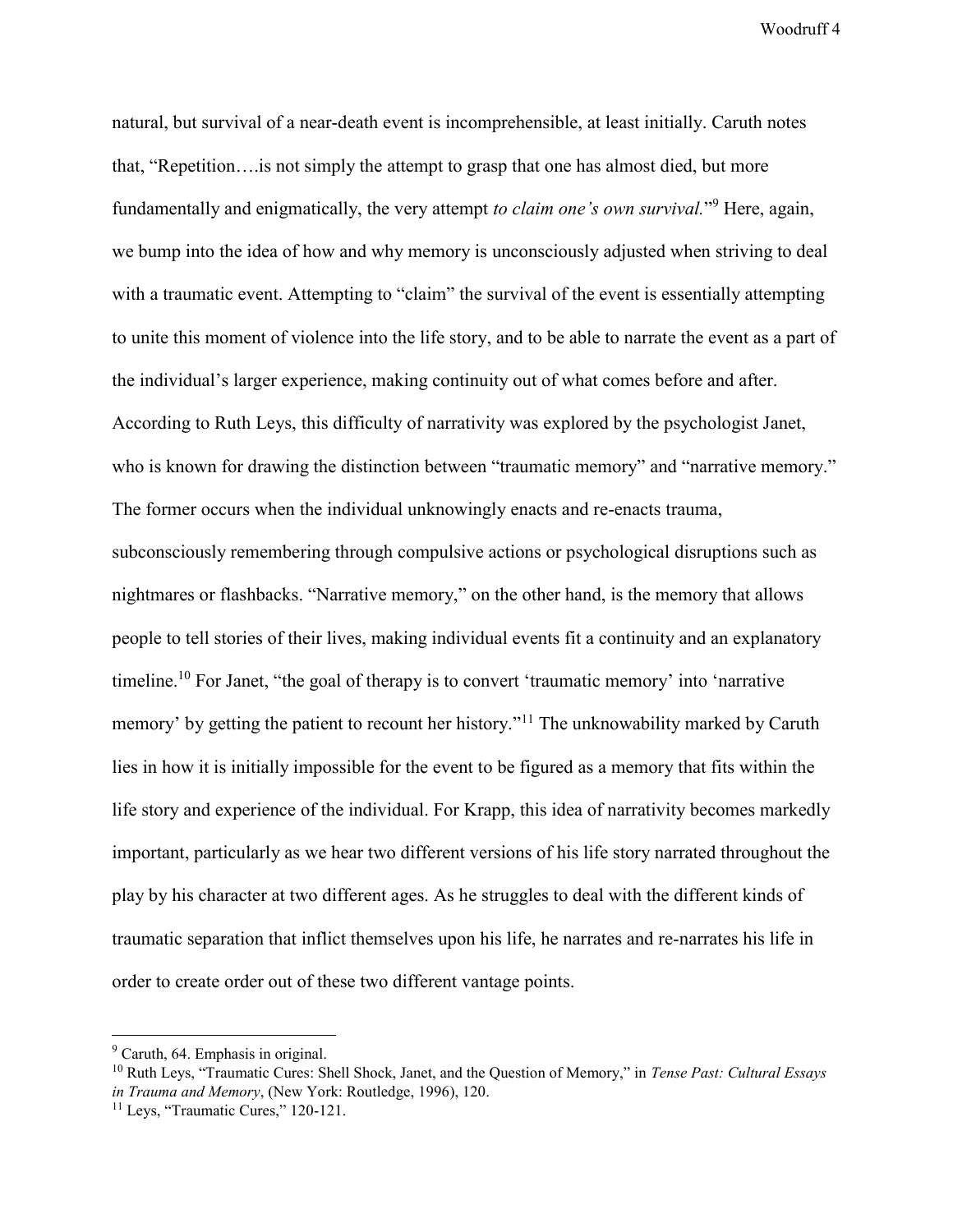natural, but survival of a near-death event is incomprehensible, at least initially. Caruth notes that, "Repetition….is not simply the attempt to grasp that one has almost died, but more fundamentally and enigmatically, the very attempt *to claim one's own survival*."<sup>9</sup> Here, again, we bump into the idea of how and why memory is unconsciously adjusted when striving to deal with a traumatic event. Attempting to "claim" the survival of the event is essentially attempting to unite this moment of violence into the life story, and to be able to narrate the event as a part of the individual's larger experience, making continuity out of what comes before and after. According to Ruth Leys, this difficulty of narrativity was explored by the psychologist Janet, who is known for drawing the distinction between "traumatic memory" and "narrative memory." The former occurs when the individual unknowingly enacts and re-enacts trauma, subconsciously remembering through compulsive actions or psychological disruptions such as nightmares or flashbacks. "Narrative memory," on the other hand, is the memory that allows people to tell stories of their lives, making individual events fit a continuity and an explanatory timeline.<sup>10</sup> For Janet, "the goal of therapy is to convert 'traumatic memory' into 'narrative memory' by getting the patient to recount her history."<sup>11</sup> The unknowability marked by Caruth lies in how it is initially impossible for the event to be figured as a memory that fits within the life story and experience of the individual. For Krapp, this idea of narrativity becomes markedly important, particularly as we hear two different versions of his life story narrated throughout the play by his character at two different ages. As he struggles to deal with the different kinds of traumatic separation that inflict themselves upon his life, he narrates and re-narrates his life in order to create order out of these two different vantage points.

<sup>9</sup> Caruth, 64. Emphasis in original.

<sup>10</sup> Ruth Leys, "Traumatic Cures: Shell Shock, Janet, and the Question of Memory," in *Tense Past: Cultural Essays in Trauma and Memory*, (New York: Routledge, 1996), 120.

<sup>&</sup>lt;sup>11</sup> Leys, "Traumatic Cures," 120-121.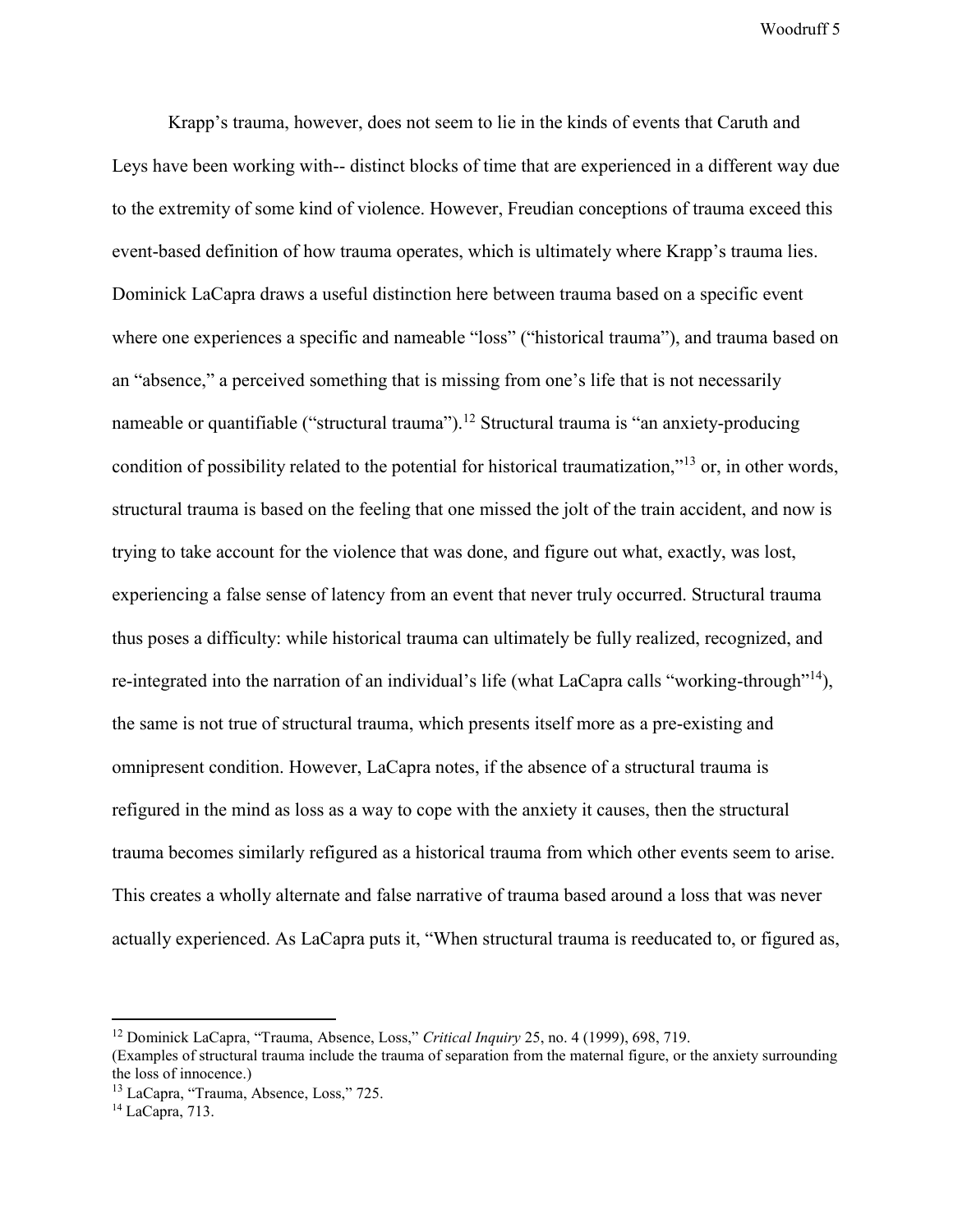Krapp's trauma, however, does not seem to lie in the kinds of events that Caruth and Leys have been working with-- distinct blocks of time that are experienced in a different way due to the extremity of some kind of violence. However, Freudian conceptions of trauma exceed this event-based definition of how trauma operates, which is ultimately where Krapp's trauma lies. Dominick LaCapra draws a useful distinction here between trauma based on a specific event where one experiences a specific and nameable "loss" ("historical trauma"), and trauma based on an "absence," a perceived something that is missing from one's life that is not necessarily nameable or quantifiable ("structural trauma").<sup>12</sup> Structural trauma is "an anxiety-producing condition of possibility related to the potential for historical traumatization,"<sup>13</sup> or, in other words, structural trauma is based on the feeling that one missed the jolt of the train accident, and now is trying to take account for the violence that was done, and figure out what, exactly, was lost, experiencing a false sense of latency from an event that never truly occurred. Structural trauma thus poses a difficulty: while historical trauma can ultimately be fully realized, recognized, and re-integrated into the narration of an individual's life (what LaCapra calls "working-through"<sup>14</sup>), the same is not true of structural trauma, which presents itself more as a pre-existing and omnipresent condition. However, LaCapra notes, if the absence of a structural trauma is refigured in the mind as loss as a way to cope with the anxiety it causes, then the structural trauma becomes similarly refigured as a historical trauma from which other events seem to arise. This creates a wholly alternate and false narrative of trauma based around a loss that was never actually experienced. As LaCapra puts it, "When structural trauma is reeducated to, or figured as,

<sup>12</sup> Dominick LaCapra, "Trauma, Absence, Loss," *Critical Inquiry* 25, no. 4 (1999), 698, 719.

<sup>(</sup>Examples of structural trauma include the trauma of separation from the maternal figure, or the anxiety surrounding the loss of innocence.)

<sup>13</sup> LaCapra, "Trauma, Absence, Loss," 725.

<sup>14</sup> LaCapra, 713.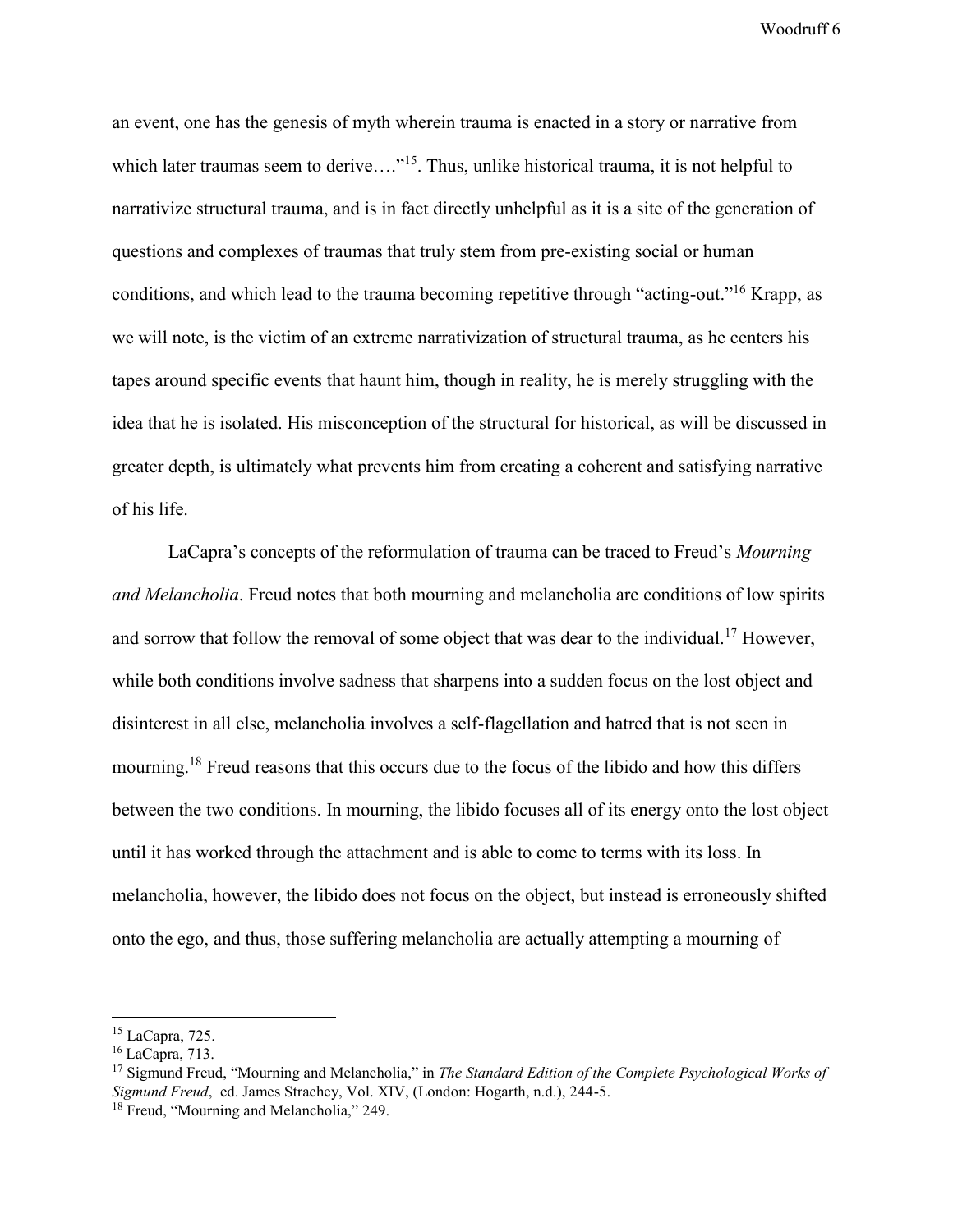an event, one has the genesis of myth wherein trauma is enacted in a story or narrative from which later traumas seem to derive...."<sup>15</sup>. Thus, unlike historical trauma, it is not helpful to narrativize structural trauma, and is in fact directly unhelpful as it is a site of the generation of questions and complexes of traumas that truly stem from pre-existing social or human conditions, and which lead to the trauma becoming repetitive through "acting-out." <sup>16</sup> Krapp, as we will note, is the victim of an extreme narrativization of structural trauma, as he centers his tapes around specific events that haunt him, though in reality, he is merely struggling with the idea that he is isolated. His misconception of the structural for historical, as will be discussed in greater depth, is ultimately what prevents him from creating a coherent and satisfying narrative of his life.

LaCapra's concepts of the reformulation of trauma can be traced to Freud's *Mourning and Melancholia*. Freud notes that both mourning and melancholia are conditions of low spirits and sorrow that follow the removal of some object that was dear to the individual.<sup>17</sup> However, while both conditions involve sadness that sharpens into a sudden focus on the lost object and disinterest in all else, melancholia involves a self-flagellation and hatred that is not seen in mourning.<sup>18</sup> Freud reasons that this occurs due to the focus of the libido and how this differs between the two conditions. In mourning, the libido focuses all of its energy onto the lost object until it has worked through the attachment and is able to come to terms with its loss. In melancholia, however, the libido does not focus on the object, but instead is erroneously shifted onto the ego, and thus, those suffering melancholia are actually attempting a mourning of

-

<sup>15</sup> LaCapra, 725.

<sup>16</sup> LaCapra, 713.

<sup>17</sup> Sigmund Freud, "Mourning and Melancholia," in *The Standard Edition of the Complete Psychological Works of Sigmund Freud*, ed. James Strachey, Vol. XIV, (London: Hogarth, n.d.), 244-5.

<sup>&</sup>lt;sup>18</sup> Freud, "Mourning and Melancholia," 249.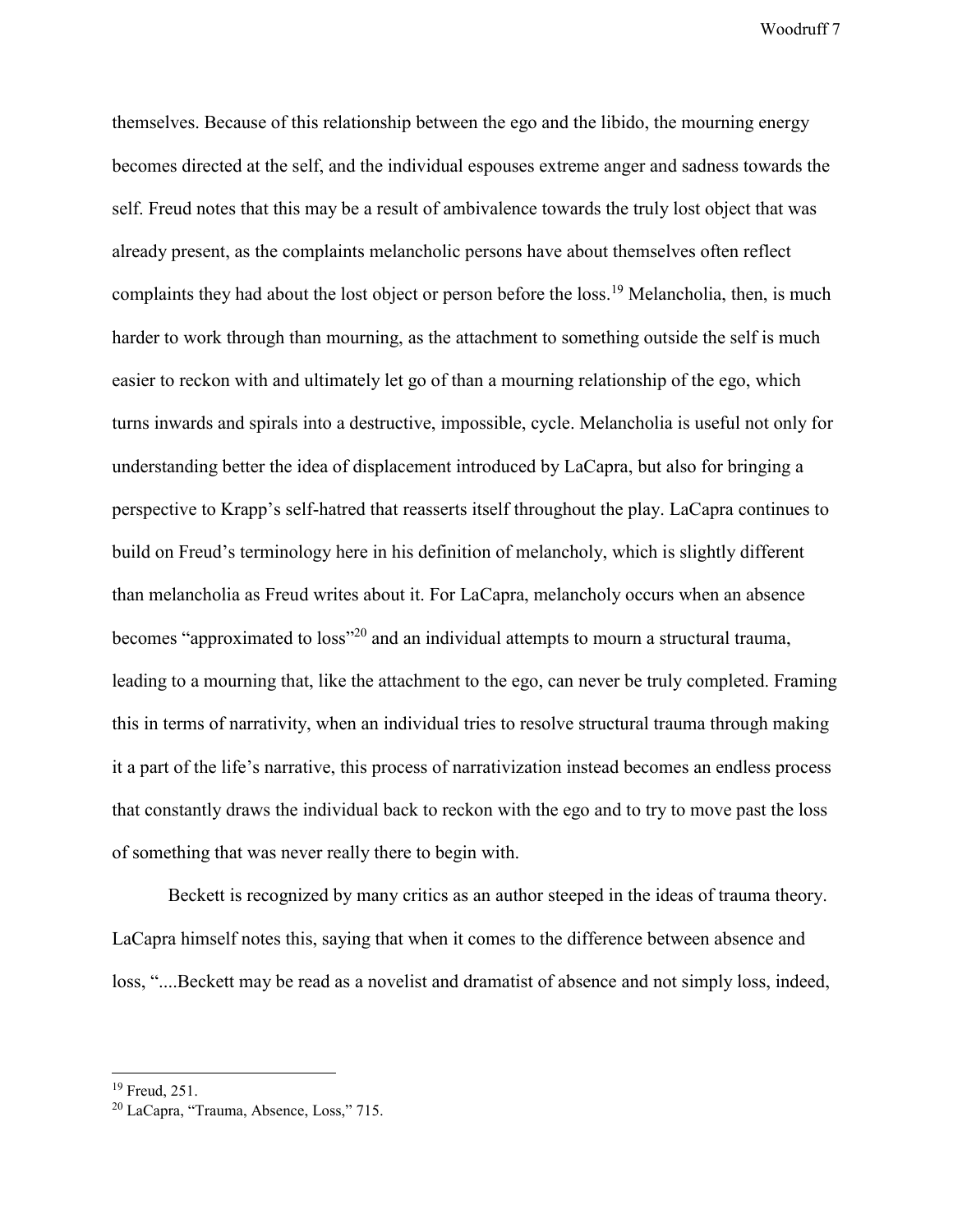themselves. Because of this relationship between the ego and the libido, the mourning energy becomes directed at the self, and the individual espouses extreme anger and sadness towards the self. Freud notes that this may be a result of ambivalence towards the truly lost object that was already present, as the complaints melancholic persons have about themselves often reflect complaints they had about the lost object or person before the loss.<sup>19</sup> Melancholia, then, is much harder to work through than mourning, as the attachment to something outside the self is much easier to reckon with and ultimately let go of than a mourning relationship of the ego, which turns inwards and spirals into a destructive, impossible, cycle. Melancholia is useful not only for understanding better the idea of displacement introduced by LaCapra, but also for bringing a perspective to Krapp's self-hatred that reasserts itself throughout the play. LaCapra continues to build on Freud's terminology here in his definition of melancholy, which is slightly different than melancholia as Freud writes about it. For LaCapra, melancholy occurs when an absence becomes "approximated to loss"<sup>20</sup> and an individual attempts to mourn a structural trauma, leading to a mourning that, like the attachment to the ego, can never be truly completed. Framing this in terms of narrativity, when an individual tries to resolve structural trauma through making it a part of the life's narrative, this process of narrativization instead becomes an endless process that constantly draws the individual back to reckon with the ego and to try to move past the loss of something that was never really there to begin with.

Beckett is recognized by many critics as an author steeped in the ideas of trauma theory. LaCapra himself notes this, saying that when it comes to the difference between absence and loss, "....Beckett may be read as a novelist and dramatist of absence and not simply loss, indeed,

-

<sup>&</sup>lt;sup>19</sup> Freud, 251.

<sup>20</sup> LaCapra, "Trauma, Absence, Loss," 715.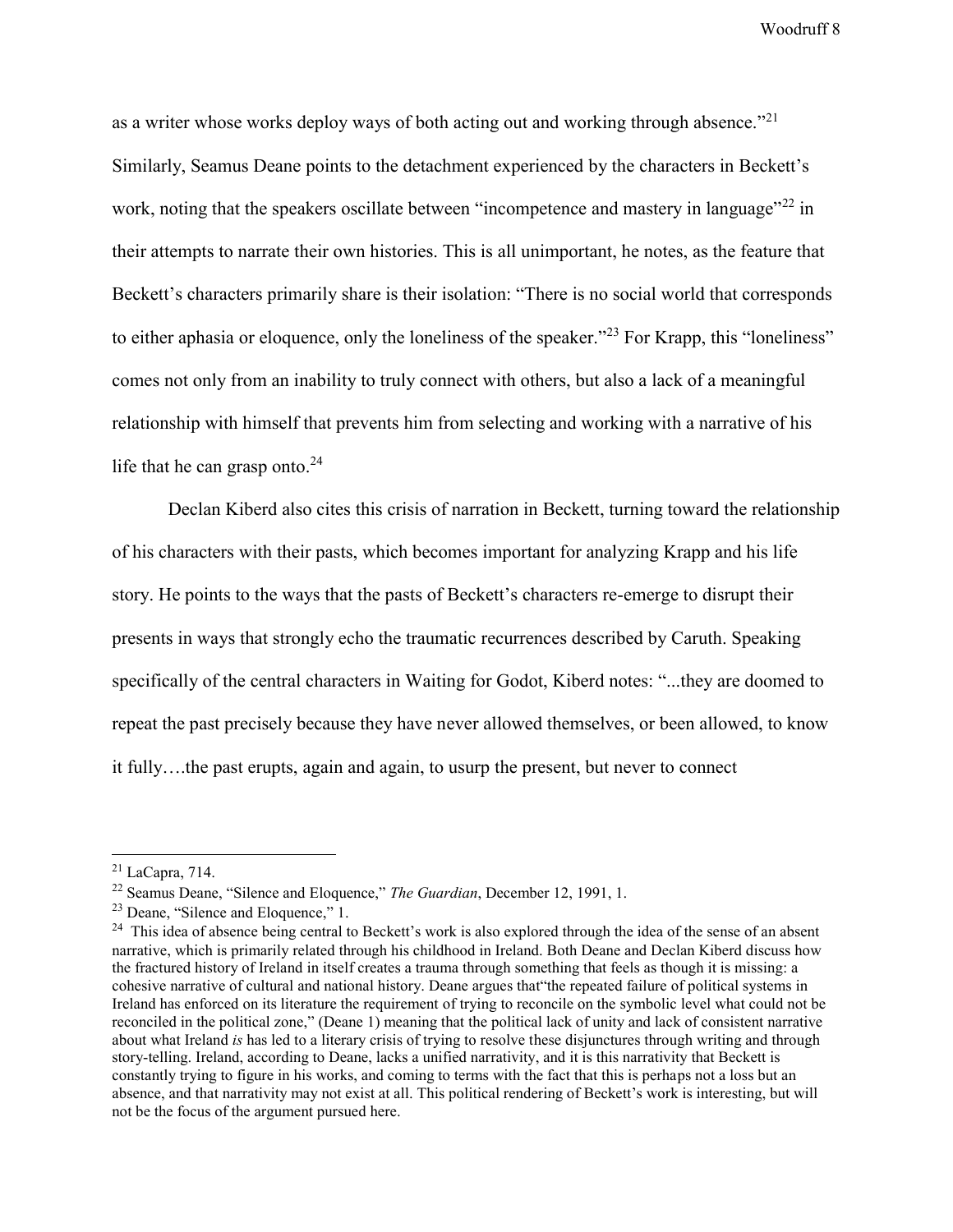as a writer whose works deploy ways of both acting out and working through absence."<sup>21</sup> Similarly, Seamus Deane points to the detachment experienced by the characters in Beckett's work, noting that the speakers oscillate between "incompetence and mastery in language"<sup>22</sup> in their attempts to narrate their own histories. This is all unimportant, he notes, as the feature that Beckett's characters primarily share is their isolation: "There is no social world that corresponds to either aphasia or eloquence, only the loneliness of the speaker."<sup>23</sup> For Krapp, this "loneliness" comes not only from an inability to truly connect with others, but also a lack of a meaningful relationship with himself that prevents him from selecting and working with a narrative of his life that he can grasp onto. $24$ 

Declan Kiberd also cites this crisis of narration in Beckett, turning toward the relationship of his characters with their pasts, which becomes important for analyzing Krapp and his life story. He points to the ways that the pasts of Beckett's characters re-emerge to disrupt their presents in ways that strongly echo the traumatic recurrences described by Caruth. Speaking specifically of the central characters in Waiting for Godot, Kiberd notes: "...they are doomed to repeat the past precisely because they have never allowed themselves, or been allowed, to know it fully….the past erupts, again and again, to usurp the present, but never to connect

 $21$  LaCapra, 714.

<sup>22</sup> Seamus Deane, "Silence and Eloquence," *The Guardian*, December 12, 1991, 1.

<sup>23</sup> Deane, "Silence and Eloquence," 1.

<sup>&</sup>lt;sup>24</sup> This idea of absence being central to Beckett's work is also explored through the idea of the sense of an absent narrative, which is primarily related through his childhood in Ireland. Both Deane and Declan Kiberd discuss how the fractured history of Ireland in itself creates a trauma through something that feels as though it is missing: a cohesive narrative of cultural and national history. Deane argues that"the repeated failure of political systems in Ireland has enforced on its literature the requirement of trying to reconcile on the symbolic level what could not be reconciled in the political zone," (Deane 1) meaning that the political lack of unity and lack of consistent narrative about what Ireland *is* has led to a literary crisis of trying to resolve these disjunctures through writing and through story-telling. Ireland, according to Deane, lacks a unified narrativity, and it is this narrativity that Beckett is constantly trying to figure in his works, and coming to terms with the fact that this is perhaps not a loss but an absence, and that narrativity may not exist at all. This political rendering of Beckett's work is interesting, but will not be the focus of the argument pursued here.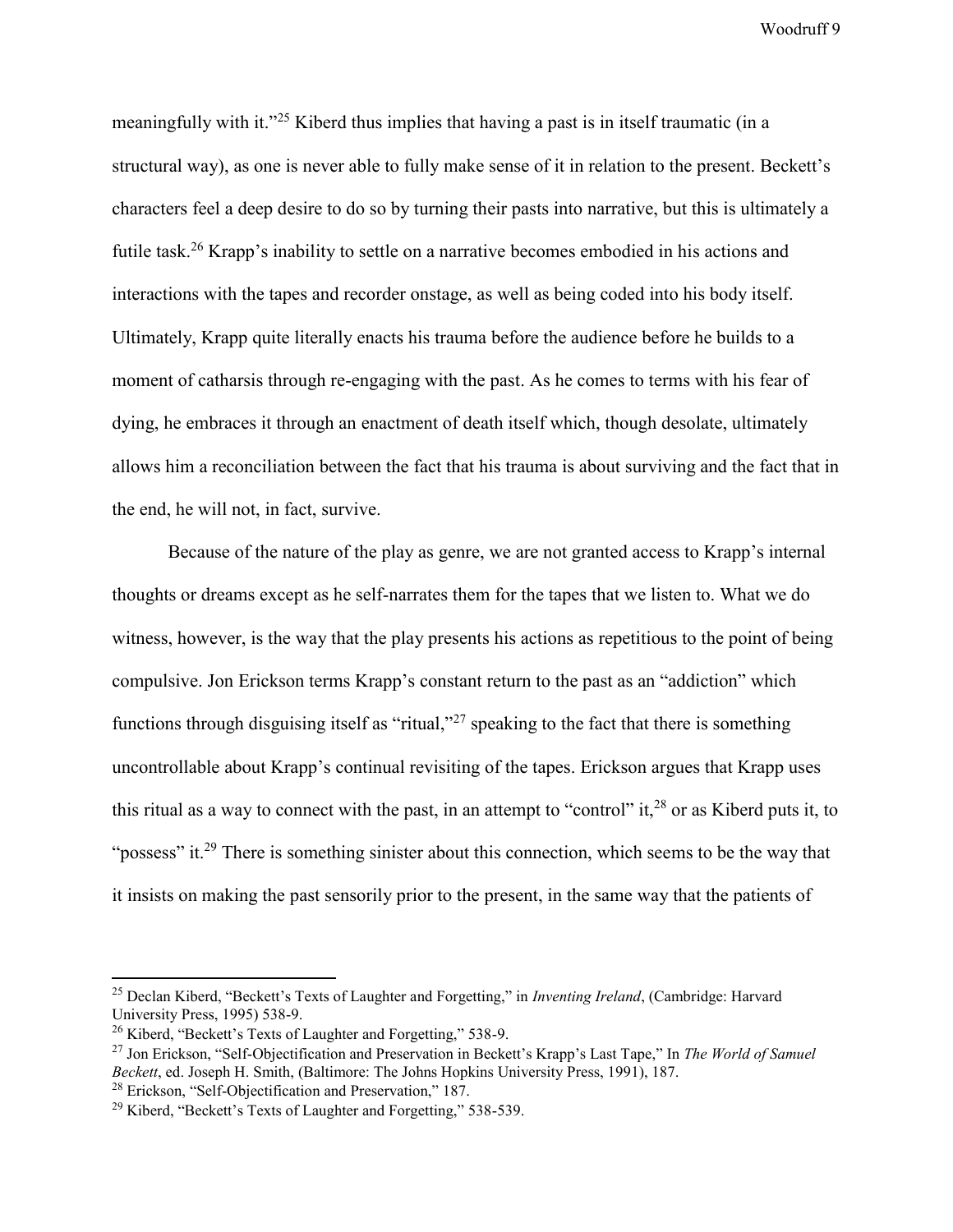meaningfully with it."<sup>25</sup> Kiberd thus implies that having a past is in itself traumatic (in a structural way), as one is never able to fully make sense of it in relation to the present. Beckett's characters feel a deep desire to do so by turning their pasts into narrative, but this is ultimately a futile task.<sup>26</sup> Krapp's inability to settle on a narrative becomes embodied in his actions and interactions with the tapes and recorder onstage, as well as being coded into his body itself. Ultimately, Krapp quite literally enacts his trauma before the audience before he builds to a moment of catharsis through re-engaging with the past. As he comes to terms with his fear of dying, he embraces it through an enactment of death itself which, though desolate, ultimately allows him a reconciliation between the fact that his trauma is about surviving and the fact that in the end, he will not, in fact, survive.

Because of the nature of the play as genre, we are not granted access to Krapp's internal thoughts or dreams except as he self-narrates them for the tapes that we listen to. What we do witness, however, is the way that the play presents his actions as repetitious to the point of being compulsive. Jon Erickson terms Krapp's constant return to the past as an "addiction" which functions through disguising itself as "ritual,"<sup>27</sup> speaking to the fact that there is something uncontrollable about Krapp's continual revisiting of the tapes. Erickson argues that Krapp uses this ritual as a way to connect with the past, in an attempt to "control" it,  $^{28}$  or as Kiberd puts it, to "possess" it.<sup>29</sup> There is something sinister about this connection, which seems to be the way that it insists on making the past sensorily prior to the present, in the same way that the patients of

 $\overline{a}$ 

<sup>25</sup> Declan Kiberd, "Beckett's Texts of Laughter and Forgetting," in *Inventing Ireland*, (Cambridge: Harvard University Press, 1995) 538-9.

<sup>26</sup> Kiberd, "Beckett's Texts of Laughter and Forgetting," 538-9.

<sup>27</sup> Jon Erickson, "Self-Objectification and Preservation in Beckett's Krapp's Last Tape," In *The World of Samuel Beckett*, ed. Joseph H. Smith, (Baltimore: The Johns Hopkins University Press, 1991), 187.

<sup>28</sup> Erickson, "Self-Objectification and Preservation," 187.

<sup>29</sup> Kiberd, "Beckett's Texts of Laughter and Forgetting," 538-539.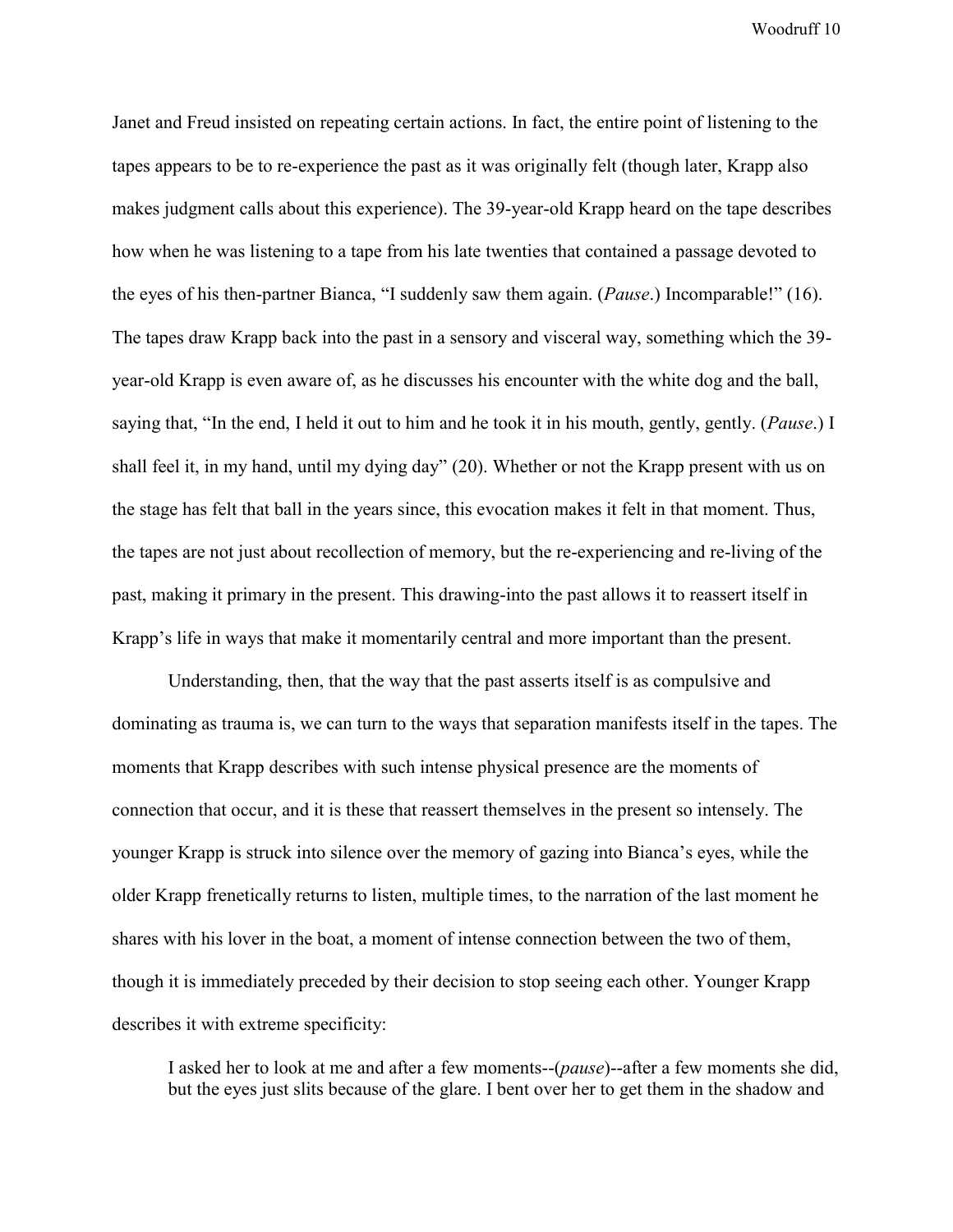Janet and Freud insisted on repeating certain actions. In fact, the entire point of listening to the tapes appears to be to re-experience the past as it was originally felt (though later, Krapp also makes judgment calls about this experience). The 39-year-old Krapp heard on the tape describes how when he was listening to a tape from his late twenties that contained a passage devoted to the eyes of his then-partner Bianca, "I suddenly saw them again. (*Pause*.) Incomparable!" (16). The tapes draw Krapp back into the past in a sensory and visceral way, something which the 39 year-old Krapp is even aware of, as he discusses his encounter with the white dog and the ball, saying that, "In the end, I held it out to him and he took it in his mouth, gently, gently. (*Pause*.) I shall feel it, in my hand, until my dying day" (20). Whether or not the Krapp present with us on the stage has felt that ball in the years since, this evocation makes it felt in that moment. Thus, the tapes are not just about recollection of memory, but the re-experiencing and re-living of the past, making it primary in the present. This drawing-into the past allows it to reassert itself in Krapp's life in ways that make it momentarily central and more important than the present.

Understanding, then, that the way that the past asserts itself is as compulsive and dominating as trauma is, we can turn to the ways that separation manifests itself in the tapes. The moments that Krapp describes with such intense physical presence are the moments of connection that occur, and it is these that reassert themselves in the present so intensely. The younger Krapp is struck into silence over the memory of gazing into Bianca's eyes, while the older Krapp frenetically returns to listen, multiple times, to the narration of the last moment he shares with his lover in the boat, a moment of intense connection between the two of them, though it is immediately preceded by their decision to stop seeing each other. Younger Krapp describes it with extreme specificity:

I asked her to look at me and after a few moments--(*pause*)--after a few moments she did, but the eyes just slits because of the glare. I bent over her to get them in the shadow and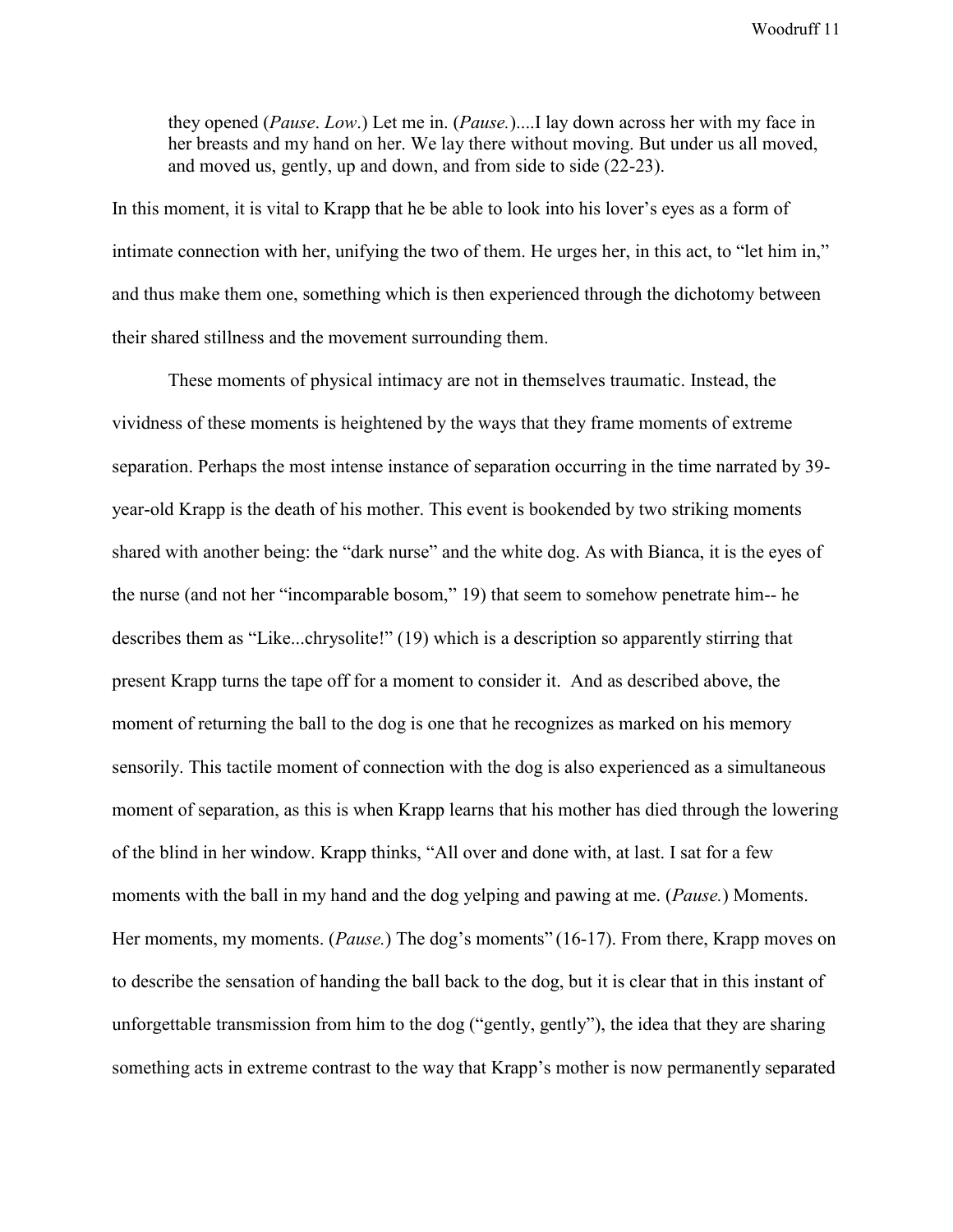they opened (*Pause*. *Low*.) Let me in. (*Pause.*)....I lay down across her with my face in her breasts and my hand on her. We lay there without moving. But under us all moved, and moved us, gently, up and down, and from side to side (22-23).

In this moment, it is vital to Krapp that he be able to look into his lover's eyes as a form of intimate connection with her, unifying the two of them. He urges her, in this act, to "let him in," and thus make them one, something which is then experienced through the dichotomy between their shared stillness and the movement surrounding them.

These moments of physical intimacy are not in themselves traumatic. Instead, the vividness of these moments is heightened by the ways that they frame moments of extreme separation. Perhaps the most intense instance of separation occurring in the time narrated by 39 year-old Krapp is the death of his mother. This event is bookended by two striking moments shared with another being: the "dark nurse" and the white dog. As with Bianca, it is the eyes of the nurse (and not her "incomparable bosom," 19) that seem to somehow penetrate him-- he describes them as "Like...chrysolite!" (19) which is a description so apparently stirring that present Krapp turns the tape off for a moment to consider it. And as described above, the moment of returning the ball to the dog is one that he recognizes as marked on his memory sensorily. This tactile moment of connection with the dog is also experienced as a simultaneous moment of separation, as this is when Krapp learns that his mother has died through the lowering of the blind in her window. Krapp thinks, "All over and done with, at last. I sat for a few moments with the ball in my hand and the dog yelping and pawing at me. (*Pause.*) Moments. Her moments, my moments. (*Pause.*) The dog's moments" (16-17). From there, Krapp moves on to describe the sensation of handing the ball back to the dog, but it is clear that in this instant of unforgettable transmission from him to the dog ("gently, gently"), the idea that they are sharing something acts in extreme contrast to the way that Krapp's mother is now permanently separated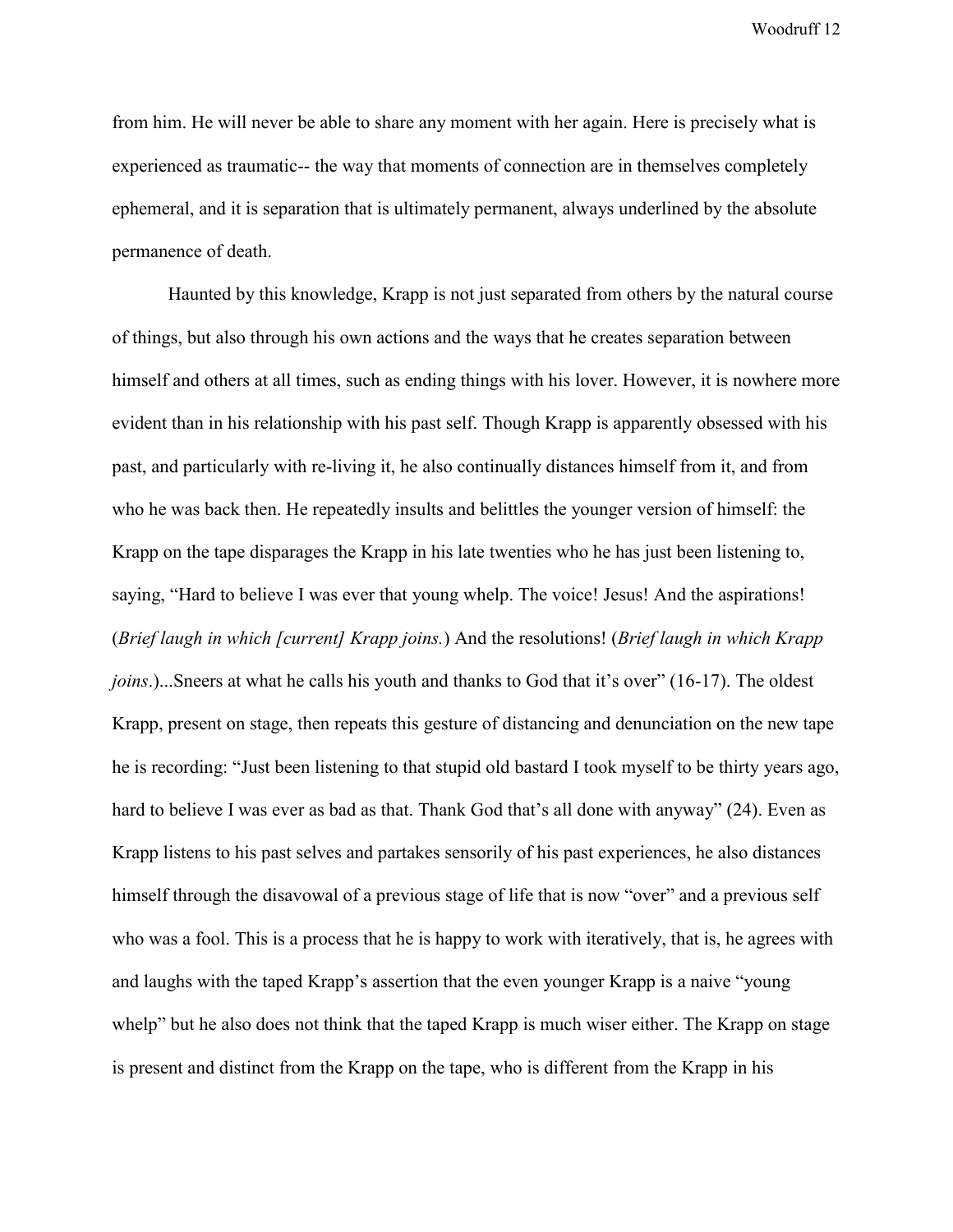from him. He will never be able to share any moment with her again. Here is precisely what is experienced as traumatic-- the way that moments of connection are in themselves completely ephemeral, and it is separation that is ultimately permanent, always underlined by the absolute permanence of death.

Haunted by this knowledge, Krapp is not just separated from others by the natural course of things, but also through his own actions and the ways that he creates separation between himself and others at all times, such as ending things with his lover. However, it is nowhere more evident than in his relationship with his past self. Though Krapp is apparently obsessed with his past, and particularly with re-living it, he also continually distances himself from it, and from who he was back then. He repeatedly insults and belittles the younger version of himself: the Krapp on the tape disparages the Krapp in his late twenties who he has just been listening to, saying, "Hard to believe I was ever that young whelp. The voice! Jesus! And the aspirations! (*Brief laugh in which [current] Krapp joins.*) And the resolutions! (*Brief laugh in which Krapp joins*.)...Sneers at what he calls his youth and thanks to God that it's over" (16-17). The oldest Krapp, present on stage, then repeats this gesture of distancing and denunciation on the new tape he is recording: "Just been listening to that stupid old bastard I took myself to be thirty years ago, hard to believe I was ever as bad as that. Thank God that's all done with anyway" (24). Even as Krapp listens to his past selves and partakes sensorily of his past experiences, he also distances himself through the disavowal of a previous stage of life that is now "over" and a previous self who was a fool. This is a process that he is happy to work with iteratively, that is, he agrees with and laughs with the taped Krapp's assertion that the even younger Krapp is a naive "young whelp" but he also does not think that the taped Krapp is much wiser either. The Krapp on stage is present and distinct from the Krapp on the tape, who is different from the Krapp in his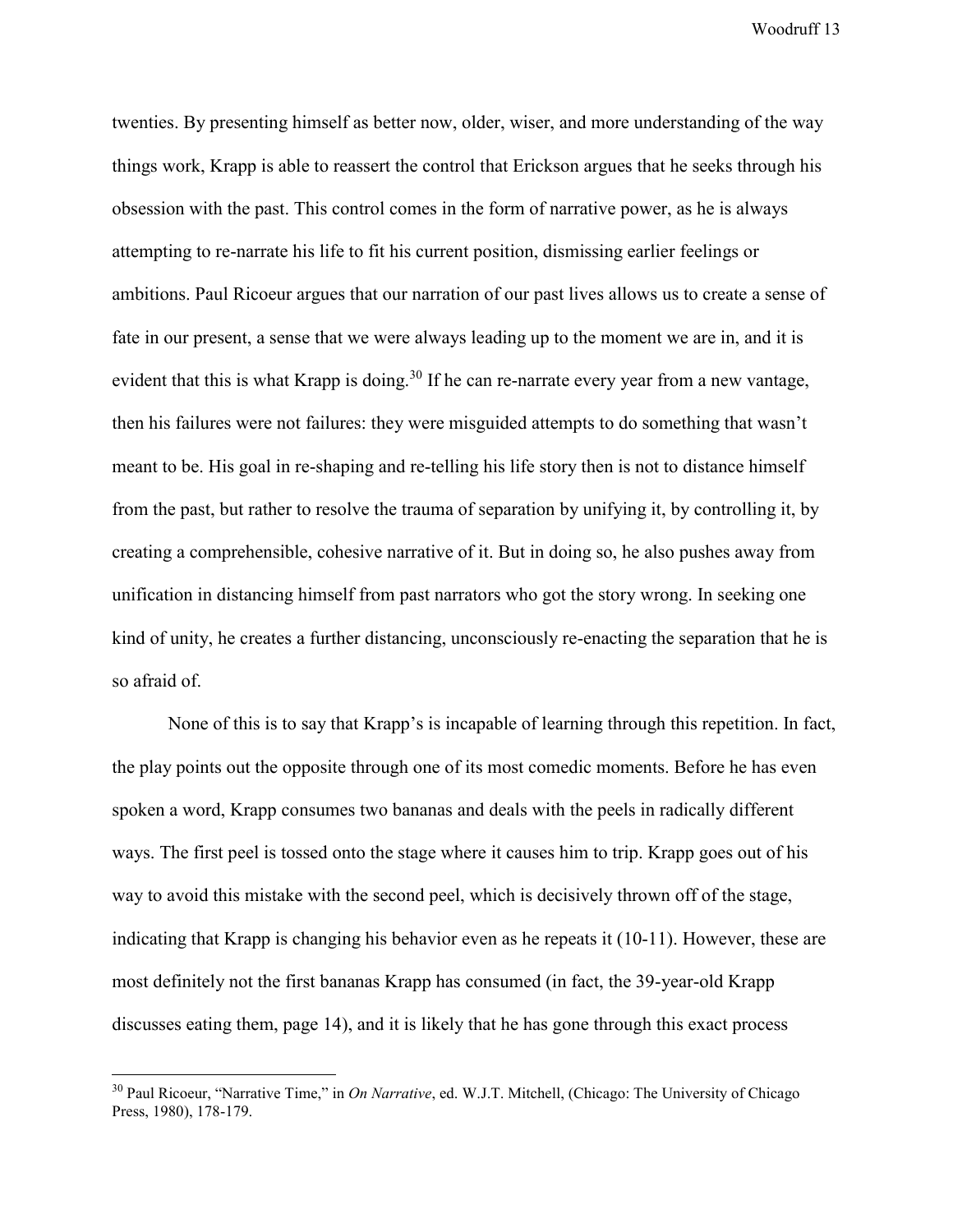twenties. By presenting himself as better now, older, wiser, and more understanding of the way things work, Krapp is able to reassert the control that Erickson argues that he seeks through his obsession with the past. This control comes in the form of narrative power, as he is always attempting to re-narrate his life to fit his current position, dismissing earlier feelings or ambitions. Paul Ricoeur argues that our narration of our past lives allows us to create a sense of fate in our present, a sense that we were always leading up to the moment we are in, and it is evident that this is what Krapp is doing.<sup>30</sup> If he can re-narrate every year from a new vantage, then his failures were not failures: they were misguided attempts to do something that wasn't meant to be. His goal in re-shaping and re-telling his life story then is not to distance himself from the past, but rather to resolve the trauma of separation by unifying it, by controlling it, by creating a comprehensible, cohesive narrative of it. But in doing so, he also pushes away from unification in distancing himself from past narrators who got the story wrong. In seeking one kind of unity, he creates a further distancing, unconsciously re-enacting the separation that he is so afraid of.

None of this is to say that Krapp's is incapable of learning through this repetition. In fact, the play points out the opposite through one of its most comedic moments. Before he has even spoken a word, Krapp consumes two bananas and deals with the peels in radically different ways. The first peel is tossed onto the stage where it causes him to trip. Krapp goes out of his way to avoid this mistake with the second peel, which is decisively thrown off of the stage, indicating that Krapp is changing his behavior even as he repeats it (10-11). However, these are most definitely not the first bananas Krapp has consumed (in fact, the 39-year-old Krapp discusses eating them, page 14), and it is likely that he has gone through this exact process

<sup>30</sup> Paul Ricoeur, "Narrative Time," in *On Narrative*, ed. W.J.T. Mitchell, (Chicago: The University of Chicago Press, 1980), 178-179.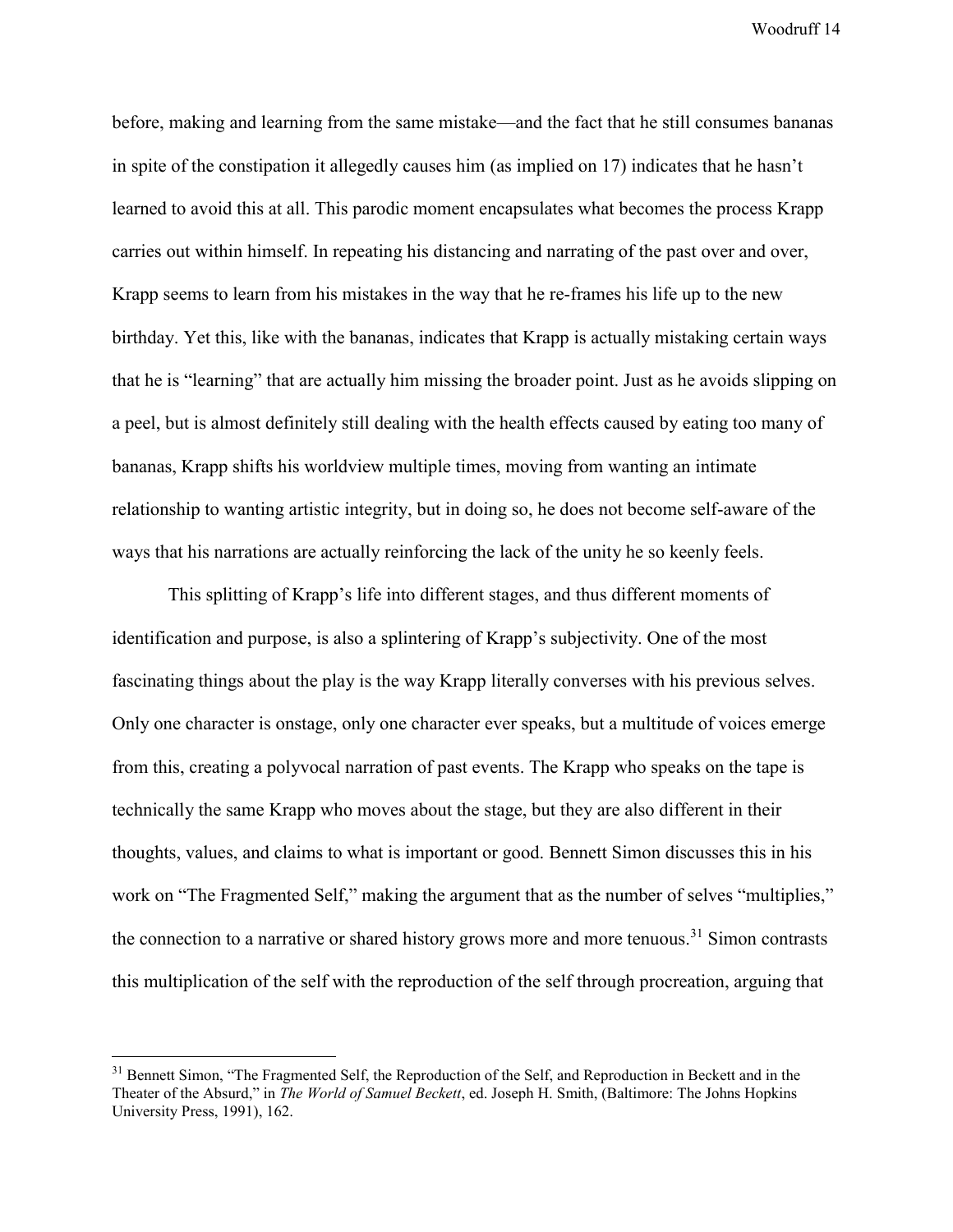before, making and learning from the same mistake—and the fact that he still consumes bananas in spite of the constipation it allegedly causes him (as implied on 17) indicates that he hasn't learned to avoid this at all. This parodic moment encapsulates what becomes the process Krapp carries out within himself. In repeating his distancing and narrating of the past over and over, Krapp seems to learn from his mistakes in the way that he re-frames his life up to the new birthday. Yet this, like with the bananas, indicates that Krapp is actually mistaking certain ways that he is "learning" that are actually him missing the broader point. Just as he avoids slipping on a peel, but is almost definitely still dealing with the health effects caused by eating too many of bananas, Krapp shifts his worldview multiple times, moving from wanting an intimate relationship to wanting artistic integrity, but in doing so, he does not become self-aware of the ways that his narrations are actually reinforcing the lack of the unity he so keenly feels.

This splitting of Krapp's life into different stages, and thus different moments of identification and purpose, is also a splintering of Krapp's subjectivity. One of the most fascinating things about the play is the way Krapp literally converses with his previous selves. Only one character is onstage, only one character ever speaks, but a multitude of voices emerge from this, creating a polyvocal narration of past events. The Krapp who speaks on the tape is technically the same Krapp who moves about the stage, but they are also different in their thoughts, values, and claims to what is important or good. Bennett Simon discusses this in his work on "The Fragmented Self," making the argument that as the number of selves "multiplies," the connection to a narrative or shared history grows more and more tenuous.<sup>31</sup> Simon contrasts this multiplication of the self with the reproduction of the self through procreation, arguing that

<sup>&</sup>lt;sup>31</sup> Bennett Simon, "The Fragmented Self, the Reproduction of the Self, and Reproduction in Beckett and in the Theater of the Absurd," in *The World of Samuel Beckett*, ed. Joseph H. Smith, (Baltimore: The Johns Hopkins University Press, 1991), 162.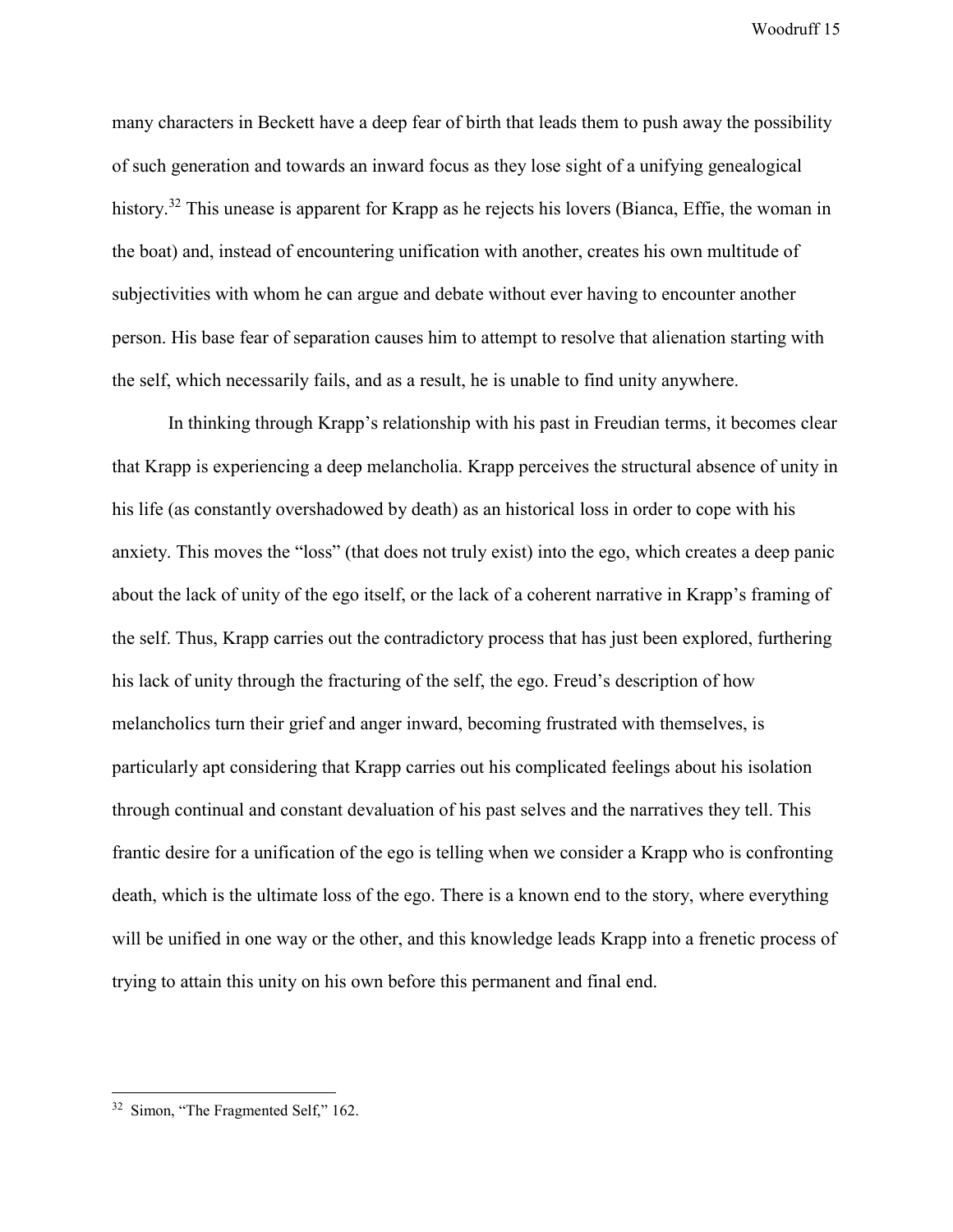many characters in Beckett have a deep fear of birth that leads them to push away the possibility of such generation and towards an inward focus as they lose sight of a unifying genealogical history.<sup>32</sup> This unease is apparent for Krapp as he rejects his lovers (Bianca, Effie, the woman in the boat) and, instead of encountering unification with another, creates his own multitude of subjectivities with whom he can argue and debate without ever having to encounter another person. His base fear of separation causes him to attempt to resolve that alienation starting with the self, which necessarily fails, and as a result, he is unable to find unity anywhere.

In thinking through Krapp's relationship with his past in Freudian terms, it becomes clear that Krapp is experiencing a deep melancholia. Krapp perceives the structural absence of unity in his life (as constantly overshadowed by death) as an historical loss in order to cope with his anxiety. This moves the "loss" (that does not truly exist) into the ego, which creates a deep panic about the lack of unity of the ego itself, or the lack of a coherent narrative in Krapp's framing of the self. Thus, Krapp carries out the contradictory process that has just been explored, furthering his lack of unity through the fracturing of the self, the ego. Freud's description of how melancholics turn their grief and anger inward, becoming frustrated with themselves, is particularly apt considering that Krapp carries out his complicated feelings about his isolation through continual and constant devaluation of his past selves and the narratives they tell. This frantic desire for a unification of the ego is telling when we consider a Krapp who is confronting death, which is the ultimate loss of the ego. There is a known end to the story, where everything will be unified in one way or the other, and this knowledge leads Krapp into a frenetic process of trying to attain this unity on his own before this permanent and final end.

<sup>&</sup>lt;sup>32</sup> Simon, "The Fragmented Self," 162.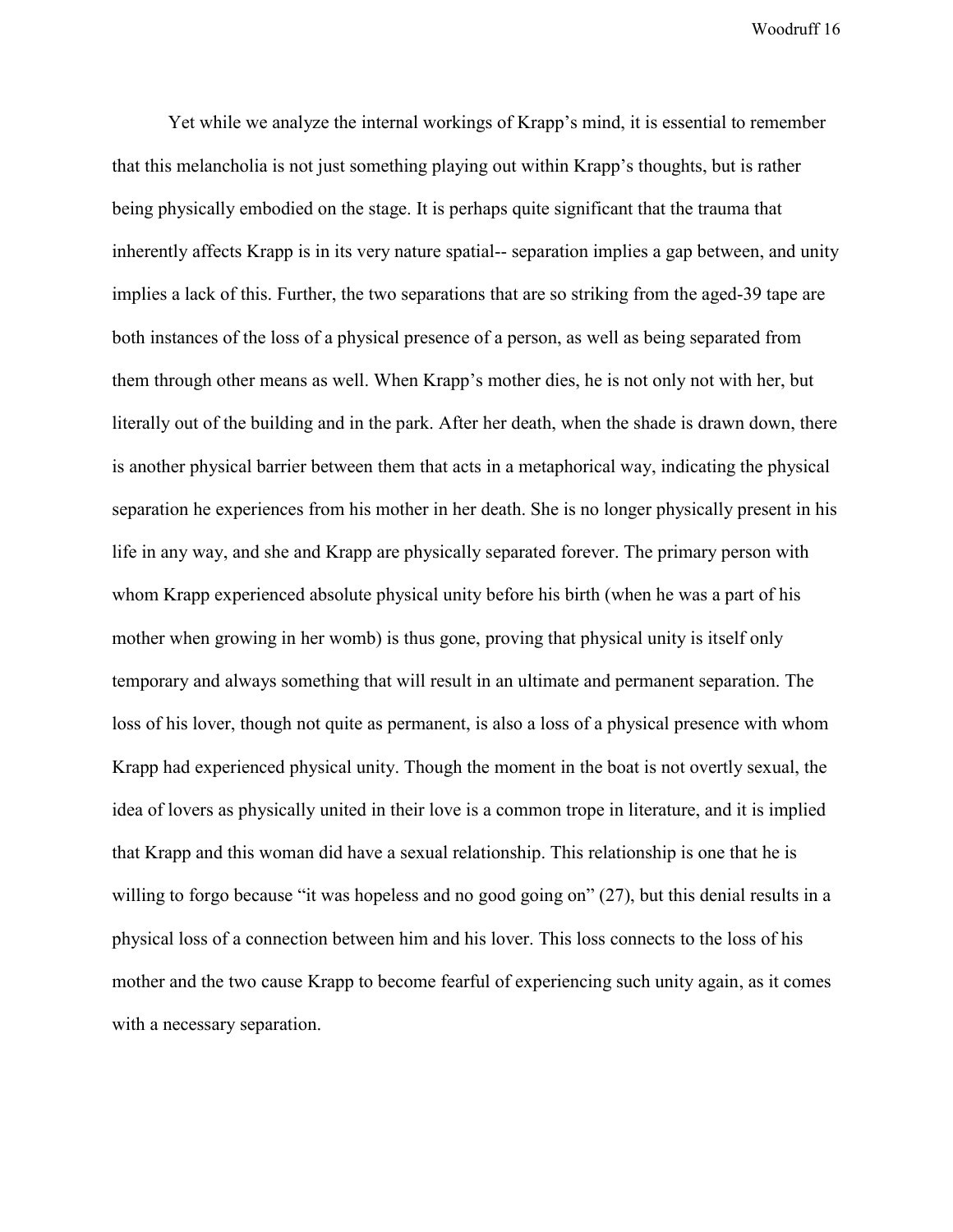Yet while we analyze the internal workings of Krapp's mind, it is essential to remember that this melancholia is not just something playing out within Krapp's thoughts, but is rather being physically embodied on the stage. It is perhaps quite significant that the trauma that inherently affects Krapp is in its very nature spatial-- separation implies a gap between, and unity implies a lack of this. Further, the two separations that are so striking from the aged-39 tape are both instances of the loss of a physical presence of a person, as well as being separated from them through other means as well. When Krapp's mother dies, he is not only not with her, but literally out of the building and in the park. After her death, when the shade is drawn down, there is another physical barrier between them that acts in a metaphorical way, indicating the physical separation he experiences from his mother in her death. She is no longer physically present in his life in any way, and she and Krapp are physically separated forever. The primary person with whom Krapp experienced absolute physical unity before his birth (when he was a part of his mother when growing in her womb) is thus gone, proving that physical unity is itself only temporary and always something that will result in an ultimate and permanent separation. The loss of his lover, though not quite as permanent, is also a loss of a physical presence with whom Krapp had experienced physical unity. Though the moment in the boat is not overtly sexual, the idea of lovers as physically united in their love is a common trope in literature, and it is implied that Krapp and this woman did have a sexual relationship. This relationship is one that he is willing to forgo because "it was hopeless and no good going on" (27), but this denial results in a physical loss of a connection between him and his lover. This loss connects to the loss of his mother and the two cause Krapp to become fearful of experiencing such unity again, as it comes with a necessary separation.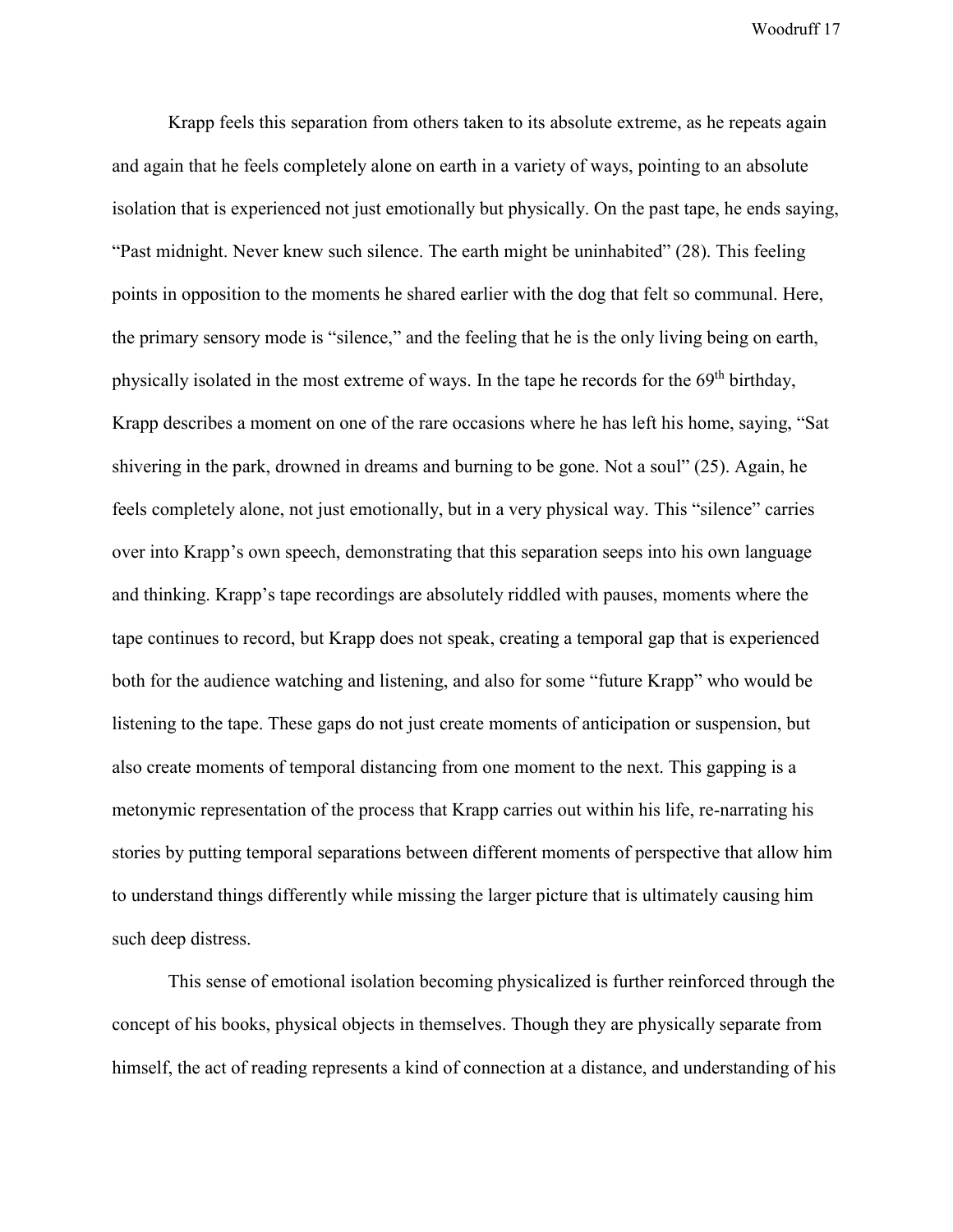Krapp feels this separation from others taken to its absolute extreme, as he repeats again and again that he feels completely alone on earth in a variety of ways, pointing to an absolute isolation that is experienced not just emotionally but physically. On the past tape, he ends saying, "Past midnight. Never knew such silence. The earth might be uninhabited" (28). This feeling points in opposition to the moments he shared earlier with the dog that felt so communal. Here, the primary sensory mode is "silence," and the feeling that he is the only living being on earth, physically isolated in the most extreme of ways. In the tape he records for the  $69<sup>th</sup>$  birthday, Krapp describes a moment on one of the rare occasions where he has left his home, saying, "Sat shivering in the park, drowned in dreams and burning to be gone. Not a soul" (25). Again, he feels completely alone, not just emotionally, but in a very physical way. This "silence" carries over into Krapp's own speech, demonstrating that this separation seeps into his own language and thinking. Krapp's tape recordings are absolutely riddled with pauses, moments where the tape continues to record, but Krapp does not speak, creating a temporal gap that is experienced both for the audience watching and listening, and also for some "future Krapp" who would be listening to the tape. These gaps do not just create moments of anticipation or suspension, but also create moments of temporal distancing from one moment to the next. This gapping is a metonymic representation of the process that Krapp carries out within his life, re-narrating his stories by putting temporal separations between different moments of perspective that allow him to understand things differently while missing the larger picture that is ultimately causing him such deep distress.

This sense of emotional isolation becoming physicalized is further reinforced through the concept of his books, physical objects in themselves. Though they are physically separate from himself, the act of reading represents a kind of connection at a distance, and understanding of his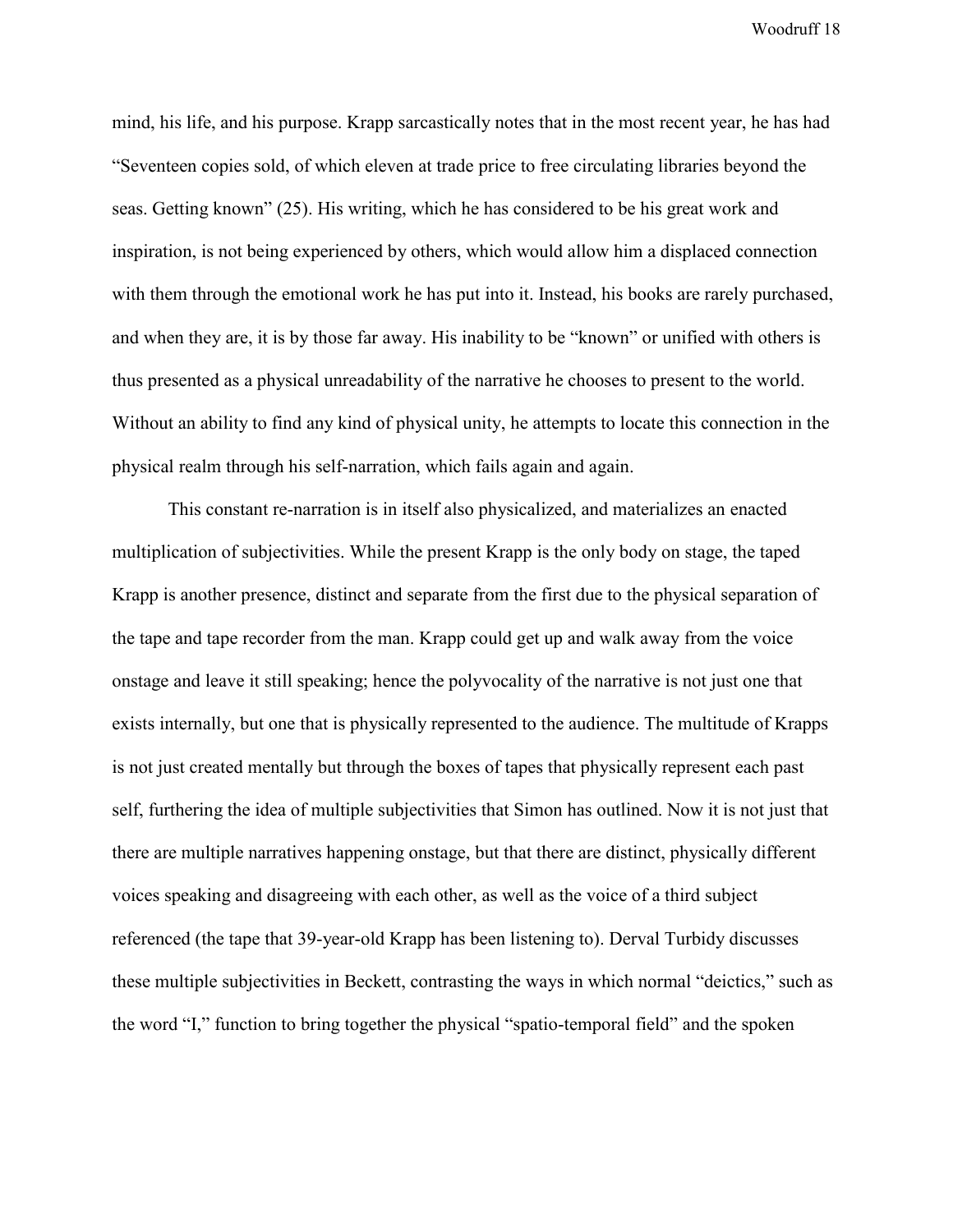mind, his life, and his purpose. Krapp sarcastically notes that in the most recent year, he has had "Seventeen copies sold, of which eleven at trade price to free circulating libraries beyond the seas. Getting known" (25). His writing, which he has considered to be his great work and inspiration, is not being experienced by others, which would allow him a displaced connection with them through the emotional work he has put into it. Instead, his books are rarely purchased, and when they are, it is by those far away. His inability to be "known" or unified with others is thus presented as a physical unreadability of the narrative he chooses to present to the world. Without an ability to find any kind of physical unity, he attempts to locate this connection in the physical realm through his self-narration, which fails again and again.

This constant re-narration is in itself also physicalized, and materializes an enacted multiplication of subjectivities. While the present Krapp is the only body on stage, the taped Krapp is another presence, distinct and separate from the first due to the physical separation of the tape and tape recorder from the man. Krapp could get up and walk away from the voice onstage and leave it still speaking; hence the polyvocality of the narrative is not just one that exists internally, but one that is physically represented to the audience. The multitude of Krapps is not just created mentally but through the boxes of tapes that physically represent each past self, furthering the idea of multiple subjectivities that Simon has outlined. Now it is not just that there are multiple narratives happening onstage, but that there are distinct, physically different voices speaking and disagreeing with each other, as well as the voice of a third subject referenced (the tape that 39-year-old Krapp has been listening to). Derval Turbidy discusses these multiple subjectivities in Beckett, contrasting the ways in which normal "deictics," such as the word "I," function to bring together the physical "spatio-temporal field" and the spoken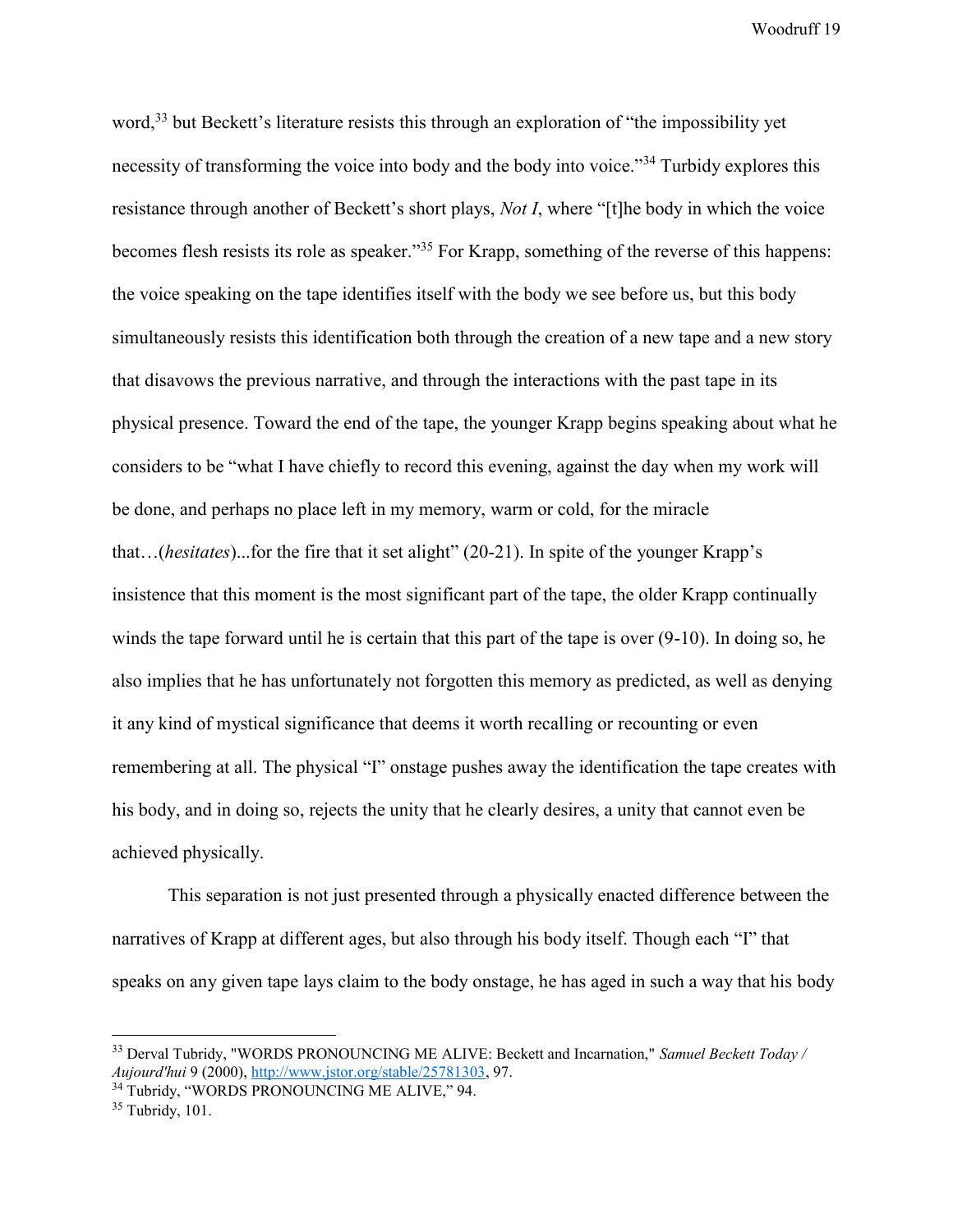word.<sup>33</sup> but Beckett's literature resists this through an exploration of "the impossibility yet necessity of transforming the voice into body and the body into voice.<sup>34</sup> Turbidy explores this resistance through another of Beckett's short plays, *Not I*, where "[t]he body in which the voice becomes flesh resists its role as speaker."<sup>35</sup> For Krapp, something of the reverse of this happens: the voice speaking on the tape identifies itself with the body we see before us, but this body simultaneously resists this identification both through the creation of a new tape and a new story that disavows the previous narrative, and through the interactions with the past tape in its physical presence. Toward the end of the tape, the younger Krapp begins speaking about what he considers to be "what I have chiefly to record this evening, against the day when my work will be done, and perhaps no place left in my memory, warm or cold, for the miracle that…(*hesitates*)...for the fire that it set alight" (20-21). In spite of the younger Krapp's insistence that this moment is the most significant part of the tape, the older Krapp continually winds the tape forward until he is certain that this part of the tape is over (9-10). In doing so, he also implies that he has unfortunately not forgotten this memory as predicted, as well as denying it any kind of mystical significance that deems it worth recalling or recounting or even remembering at all. The physical "I" onstage pushes away the identification the tape creates with his body, and in doing so, rejects the unity that he clearly desires, a unity that cannot even be achieved physically.

This separation is not just presented through a physically enacted difference between the narratives of Krapp at different ages, but also through his body itself. Though each "I" that speaks on any given tape lays claim to the body onstage, he has aged in such a way that his body

 $\overline{a}$ 

<sup>33</sup> Derval Tubridy, "WORDS PRONOUNCING ME ALIVE: Beckett and Incarnation," *Samuel Beckett Today / Aujourd'hui* 9 (2000), [http://www.jstor.org/stable/25781303,](http://www.jstor.org/stable/25781303) 97.

<sup>&</sup>lt;sup>34</sup> Tubridy, "WORDS PRONOUNCING ME ALIVE," 94.

<sup>35</sup> Tubridy, 101.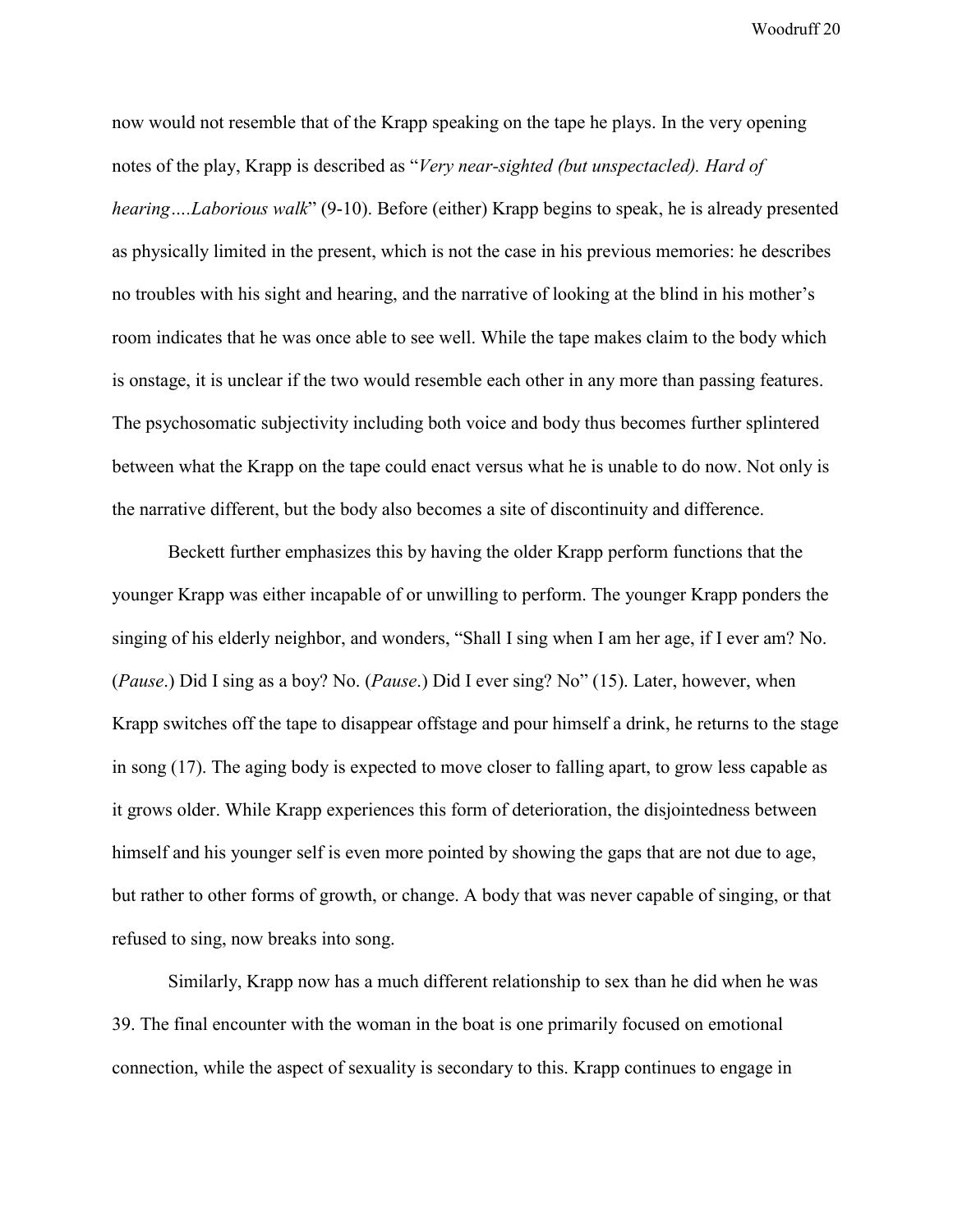now would not resemble that of the Krapp speaking on the tape he plays. In the very opening notes of the play, Krapp is described as "*Very near-sighted (but unspectacled). Hard of hearing….Laborious walk*" (9-10). Before (either) Krapp begins to speak, he is already presented as physically limited in the present, which is not the case in his previous memories: he describes no troubles with his sight and hearing, and the narrative of looking at the blind in his mother's room indicates that he was once able to see well. While the tape makes claim to the body which is onstage, it is unclear if the two would resemble each other in any more than passing features. The psychosomatic subjectivity including both voice and body thus becomes further splintered between what the Krapp on the tape could enact versus what he is unable to do now. Not only is the narrative different, but the body also becomes a site of discontinuity and difference.

Beckett further emphasizes this by having the older Krapp perform functions that the younger Krapp was either incapable of or unwilling to perform. The younger Krapp ponders the singing of his elderly neighbor, and wonders, "Shall I sing when I am her age, if I ever am? No. (*Pause*.) Did I sing as a boy? No. (*Pause*.) Did I ever sing? No" (15). Later, however, when Krapp switches off the tape to disappear offstage and pour himself a drink, he returns to the stage in song (17). The aging body is expected to move closer to falling apart, to grow less capable as it grows older. While Krapp experiences this form of deterioration, the disjointedness between himself and his younger self is even more pointed by showing the gaps that are not due to age, but rather to other forms of growth, or change. A body that was never capable of singing, or that refused to sing, now breaks into song.

Similarly, Krapp now has a much different relationship to sex than he did when he was 39. The final encounter with the woman in the boat is one primarily focused on emotional connection, while the aspect of sexuality is secondary to this. Krapp continues to engage in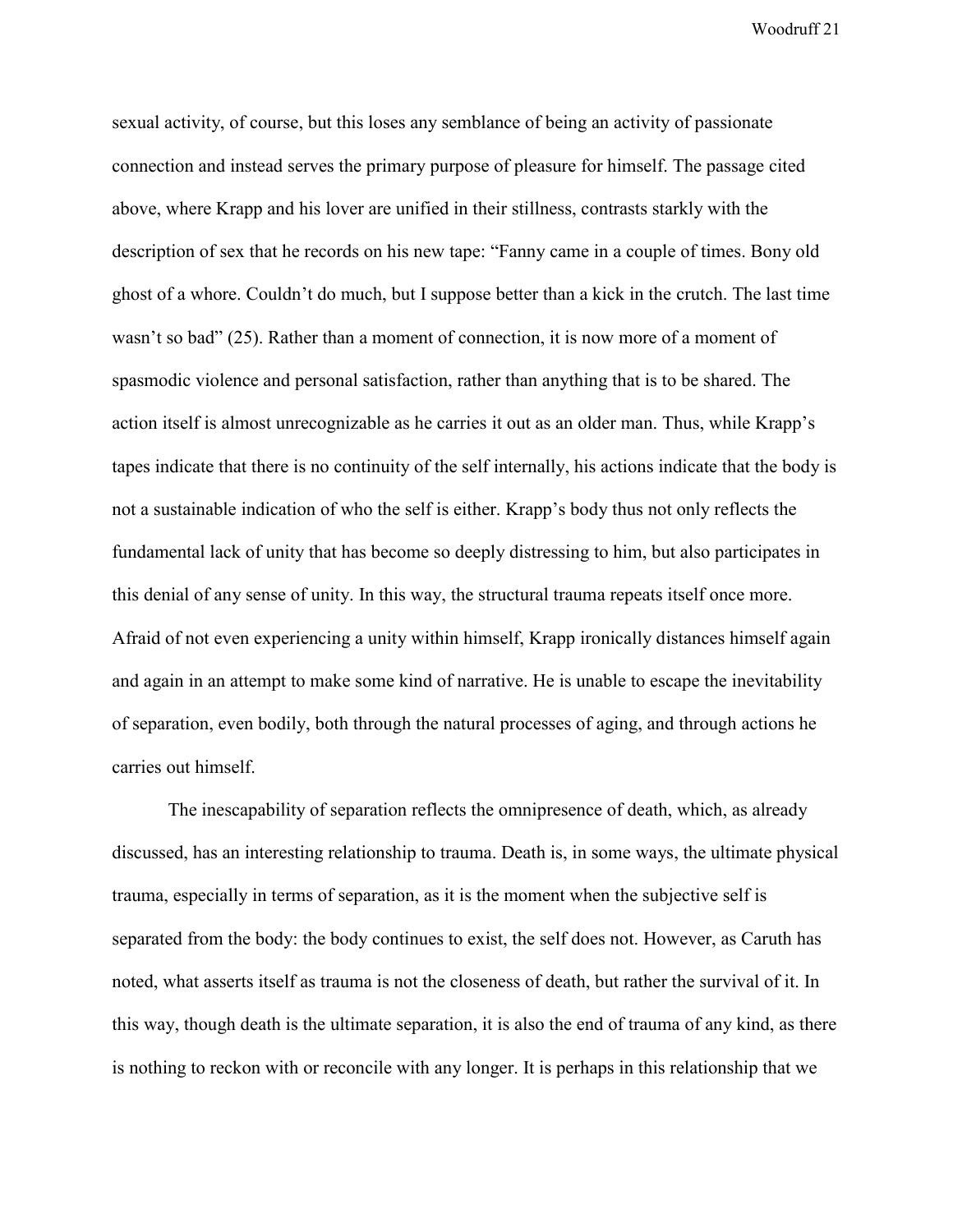sexual activity, of course, but this loses any semblance of being an activity of passionate connection and instead serves the primary purpose of pleasure for himself. The passage cited above, where Krapp and his lover are unified in their stillness, contrasts starkly with the description of sex that he records on his new tape: "Fanny came in a couple of times. Bony old ghost of a whore. Couldn't do much, but I suppose better than a kick in the crutch. The last time wasn't so bad" (25). Rather than a moment of connection, it is now more of a moment of spasmodic violence and personal satisfaction, rather than anything that is to be shared. The action itself is almost unrecognizable as he carries it out as an older man. Thus, while Krapp's tapes indicate that there is no continuity of the self internally, his actions indicate that the body is not a sustainable indication of who the self is either. Krapp's body thus not only reflects the fundamental lack of unity that has become so deeply distressing to him, but also participates in this denial of any sense of unity. In this way, the structural trauma repeats itself once more. Afraid of not even experiencing a unity within himself, Krapp ironically distances himself again and again in an attempt to make some kind of narrative. He is unable to escape the inevitability of separation, even bodily, both through the natural processes of aging, and through actions he carries out himself.

The inescapability of separation reflects the omnipresence of death, which, as already discussed, has an interesting relationship to trauma. Death is, in some ways, the ultimate physical trauma, especially in terms of separation, as it is the moment when the subjective self is separated from the body: the body continues to exist, the self does not. However, as Caruth has noted, what asserts itself as trauma is not the closeness of death, but rather the survival of it. In this way, though death is the ultimate separation, it is also the end of trauma of any kind, as there is nothing to reckon with or reconcile with any longer. It is perhaps in this relationship that we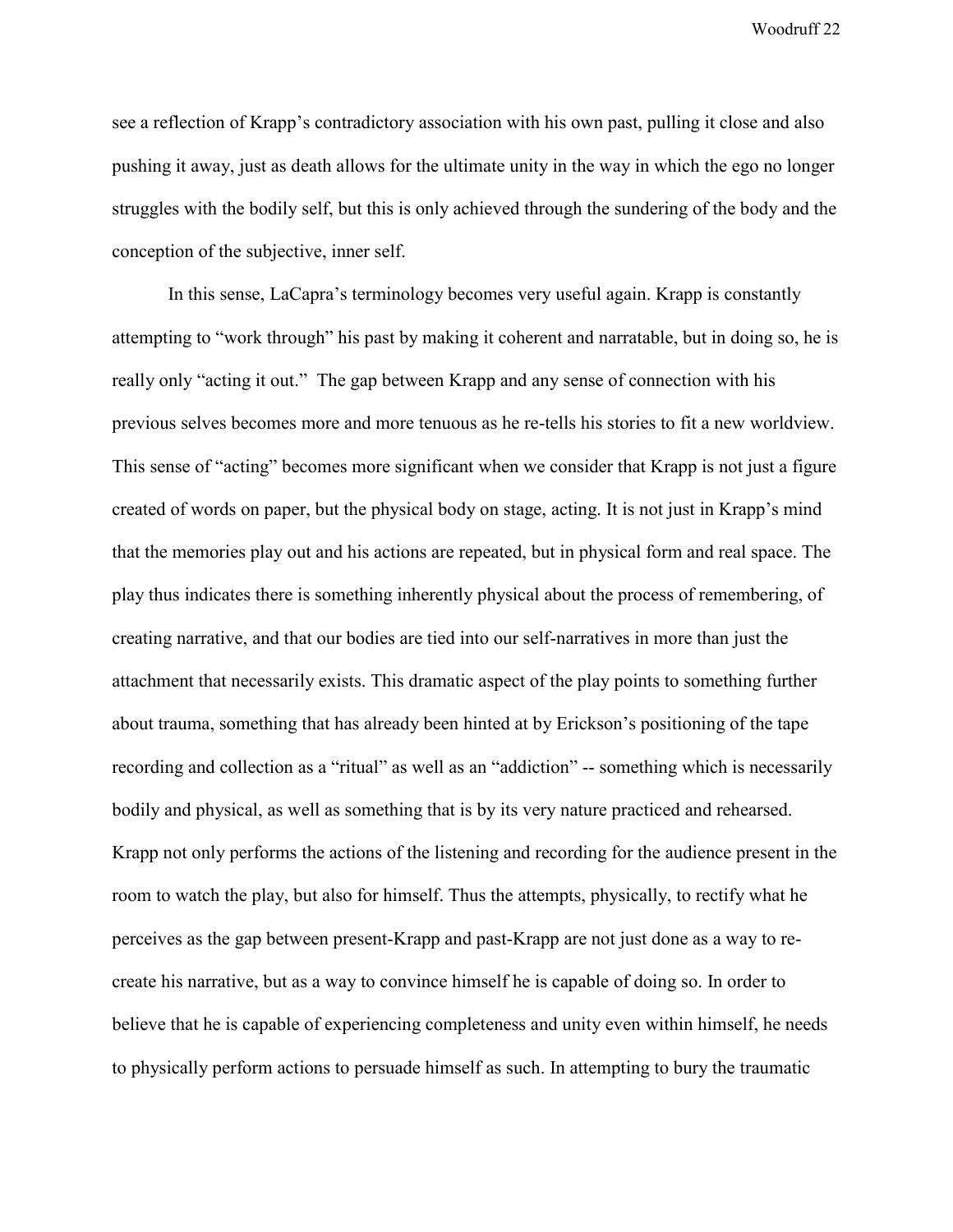see a reflection of Krapp's contradictory association with his own past, pulling it close and also pushing it away, just as death allows for the ultimate unity in the way in which the ego no longer struggles with the bodily self, but this is only achieved through the sundering of the body and the conception of the subjective, inner self.

In this sense, LaCapra's terminology becomes very useful again. Krapp is constantly attempting to "work through" his past by making it coherent and narratable, but in doing so, he is really only "acting it out." The gap between Krapp and any sense of connection with his previous selves becomes more and more tenuous as he re-tells his stories to fit a new worldview. This sense of "acting" becomes more significant when we consider that Krapp is not just a figure created of words on paper, but the physical body on stage, acting. It is not just in Krapp's mind that the memories play out and his actions are repeated, but in physical form and real space. The play thus indicates there is something inherently physical about the process of remembering, of creating narrative, and that our bodies are tied into our self-narratives in more than just the attachment that necessarily exists. This dramatic aspect of the play points to something further about trauma, something that has already been hinted at by Erickson's positioning of the tape recording and collection as a "ritual" as well as an "addiction" -- something which is necessarily bodily and physical, as well as something that is by its very nature practiced and rehearsed. Krapp not only performs the actions of the listening and recording for the audience present in the room to watch the play, but also for himself. Thus the attempts, physically, to rectify what he perceives as the gap between present-Krapp and past-Krapp are not just done as a way to recreate his narrative, but as a way to convince himself he is capable of doing so. In order to believe that he is capable of experiencing completeness and unity even within himself, he needs to physically perform actions to persuade himself as such. In attempting to bury the traumatic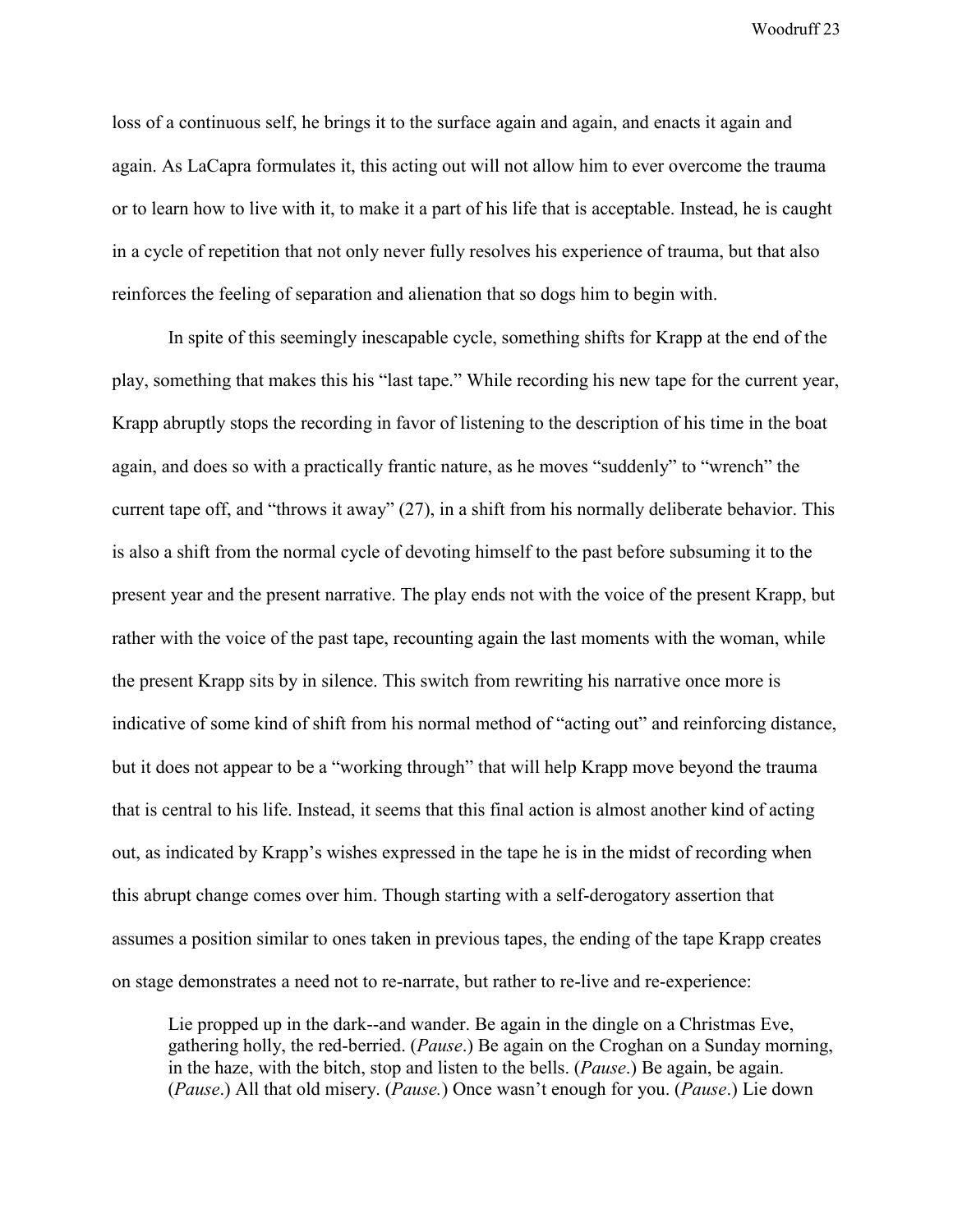loss of a continuous self, he brings it to the surface again and again, and enacts it again and again. As LaCapra formulates it, this acting out will not allow him to ever overcome the trauma or to learn how to live with it, to make it a part of his life that is acceptable. Instead, he is caught in a cycle of repetition that not only never fully resolves his experience of trauma, but that also reinforces the feeling of separation and alienation that so dogs him to begin with.

In spite of this seemingly inescapable cycle, something shifts for Krapp at the end of the play, something that makes this his "last tape." While recording his new tape for the current year, Krapp abruptly stops the recording in favor of listening to the description of his time in the boat again, and does so with a practically frantic nature, as he moves "suddenly" to "wrench" the current tape off, and "throws it away" (27), in a shift from his normally deliberate behavior. This is also a shift from the normal cycle of devoting himself to the past before subsuming it to the present year and the present narrative. The play ends not with the voice of the present Krapp, but rather with the voice of the past tape, recounting again the last moments with the woman, while the present Krapp sits by in silence. This switch from rewriting his narrative once more is indicative of some kind of shift from his normal method of "acting out" and reinforcing distance, but it does not appear to be a "working through" that will help Krapp move beyond the trauma that is central to his life. Instead, it seems that this final action is almost another kind of acting out, as indicated by Krapp's wishes expressed in the tape he is in the midst of recording when this abrupt change comes over him. Though starting with a self-derogatory assertion that assumes a position similar to ones taken in previous tapes, the ending of the tape Krapp creates on stage demonstrates a need not to re-narrate, but rather to re-live and re-experience:

Lie propped up in the dark--and wander. Be again in the dingle on a Christmas Eve, gathering holly, the red-berried. (*Pause*.) Be again on the Croghan on a Sunday morning, in the haze, with the bitch, stop and listen to the bells. (*Pause*.) Be again, be again. (*Pause*.) All that old misery. (*Pause.*) Once wasn't enough for you. (*Pause*.) Lie down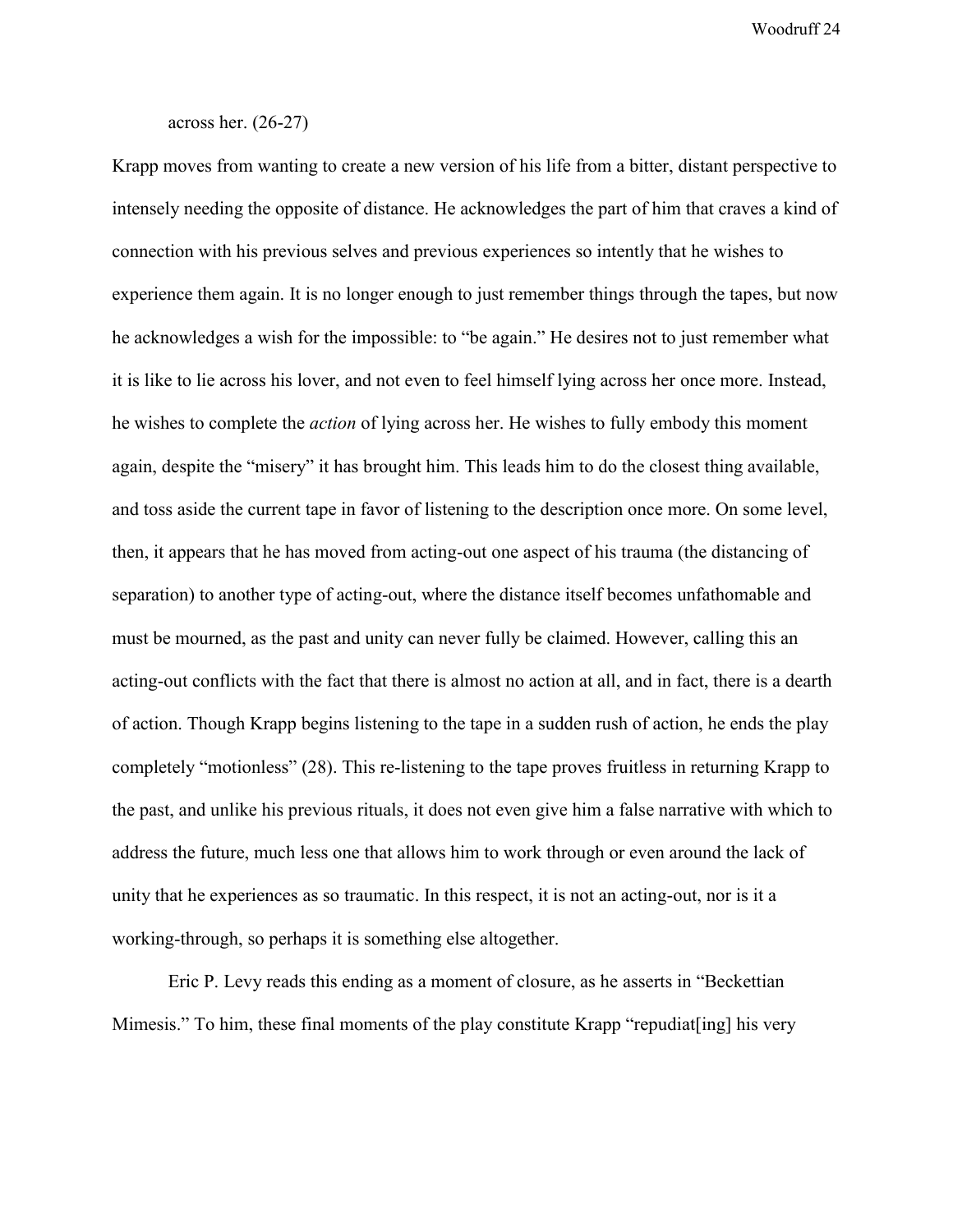## across her. (26-27)

Krapp moves from wanting to create a new version of his life from a bitter, distant perspective to intensely needing the opposite of distance. He acknowledges the part of him that craves a kind of connection with his previous selves and previous experiences so intently that he wishes to experience them again. It is no longer enough to just remember things through the tapes, but now he acknowledges a wish for the impossible: to "be again." He desires not to just remember what it is like to lie across his lover, and not even to feel himself lying across her once more. Instead, he wishes to complete the *action* of lying across her. He wishes to fully embody this moment again, despite the "misery" it has brought him. This leads him to do the closest thing available, and toss aside the current tape in favor of listening to the description once more. On some level, then, it appears that he has moved from acting-out one aspect of his trauma (the distancing of separation) to another type of acting-out, where the distance itself becomes unfathomable and must be mourned, as the past and unity can never fully be claimed. However, calling this an acting-out conflicts with the fact that there is almost no action at all, and in fact, there is a dearth of action. Though Krapp begins listening to the tape in a sudden rush of action, he ends the play completely "motionless" (28). This re-listening to the tape proves fruitless in returning Krapp to the past, and unlike his previous rituals, it does not even give him a false narrative with which to address the future, much less one that allows him to work through or even around the lack of unity that he experiences as so traumatic. In this respect, it is not an acting-out, nor is it a working-through, so perhaps it is something else altogether.

Eric P. Levy reads this ending as a moment of closure, as he asserts in "Beckettian Mimesis." To him, these final moments of the play constitute Krapp "repudiat [ing] his very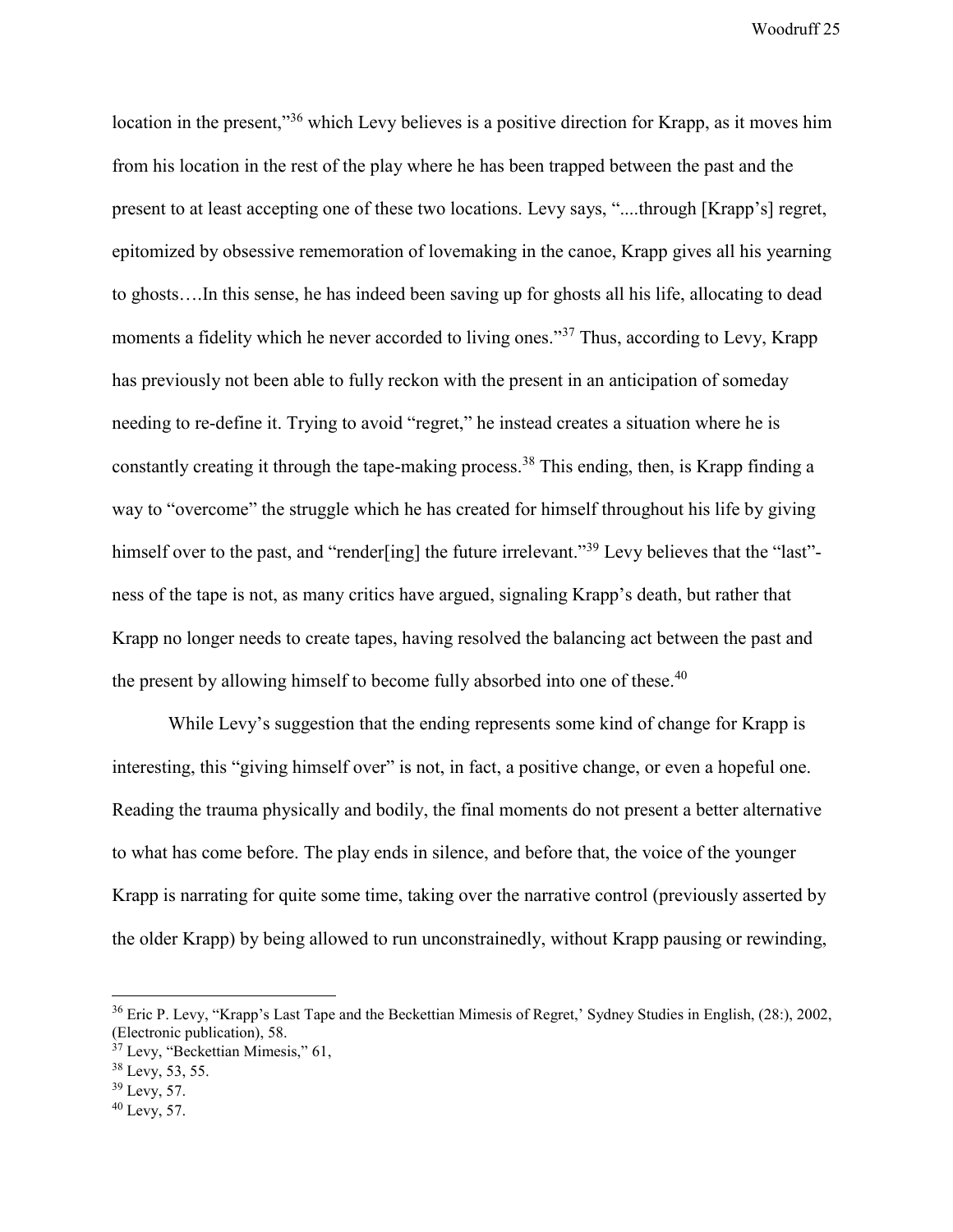location in the present,"<sup>36</sup> which Levy believes is a positive direction for Krapp, as it moves him from his location in the rest of the play where he has been trapped between the past and the present to at least accepting one of these two locations. Levy says, "....through [Krapp's] regret, epitomized by obsessive rememoration of lovemaking in the canoe, Krapp gives all his yearning to ghosts….In this sense, he has indeed been saving up for ghosts all his life, allocating to dead moments a fidelity which he never accorded to living ones."<sup>37</sup> Thus, according to Levy, Krapp has previously not been able to fully reckon with the present in an anticipation of someday needing to re-define it. Trying to avoid "regret," he instead creates a situation where he is constantly creating it through the tape-making process.<sup>38</sup> This ending, then, is Krapp finding a way to "overcome" the struggle which he has created for himself throughout his life by giving himself over to the past, and "render[ing] the future irrelevant."<sup>39</sup> Levy believes that the "last"ness of the tape is not, as many critics have argued, signaling Krapp's death, but rather that Krapp no longer needs to create tapes, having resolved the balancing act between the past and the present by allowing himself to become fully absorbed into one of these.<sup>40</sup>

While Levy's suggestion that the ending represents some kind of change for Krapp is interesting, this "giving himself over" is not, in fact, a positive change, or even a hopeful one. Reading the trauma physically and bodily, the final moments do not present a better alternative to what has come before. The play ends in silence, and before that, the voice of the younger Krapp is narrating for quite some time, taking over the narrative control (previously asserted by the older Krapp) by being allowed to run unconstrainedly, without Krapp pausing or rewinding,

 $\overline{a}$ 

<sup>&</sup>lt;sup>36</sup> Eric P. Levy, "Krapp's Last Tape and the Beckettian Mimesis of Regret,' Sydney Studies in English, (28:), 2002, (Electronic publication), 58.

 $37$  Levy, "Beckettian Mimesis," 61,

<sup>38</sup> Levy, 53, 55.

<sup>39</sup> Levy, 57.

<sup>40</sup> Levy, 57.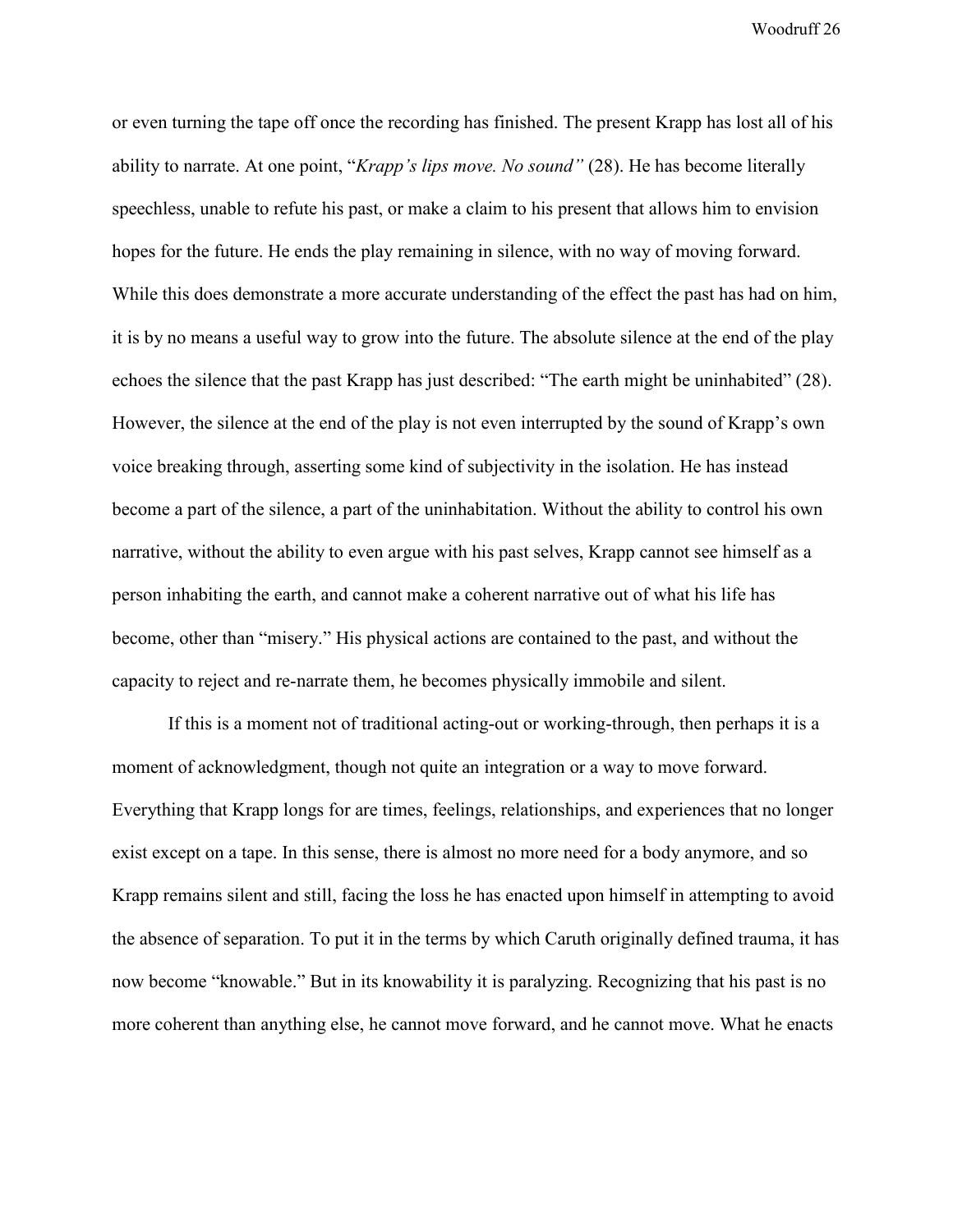or even turning the tape off once the recording has finished. The present Krapp has lost all of his ability to narrate. At one point, "*Krapp's lips move. No sound"* (28). He has become literally speechless, unable to refute his past, or make a claim to his present that allows him to envision hopes for the future. He ends the play remaining in silence, with no way of moving forward. While this does demonstrate a more accurate understanding of the effect the past has had on him, it is by no means a useful way to grow into the future. The absolute silence at the end of the play echoes the silence that the past Krapp has just described: "The earth might be uninhabited" (28). However, the silence at the end of the play is not even interrupted by the sound of Krapp's own voice breaking through, asserting some kind of subjectivity in the isolation. He has instead become a part of the silence, a part of the uninhabitation. Without the ability to control his own narrative, without the ability to even argue with his past selves, Krapp cannot see himself as a person inhabiting the earth, and cannot make a coherent narrative out of what his life has become, other than "misery." His physical actions are contained to the past, and without the capacity to reject and re-narrate them, he becomes physically immobile and silent.

If this is a moment not of traditional acting-out or working-through, then perhaps it is a moment of acknowledgment, though not quite an integration or a way to move forward. Everything that Krapp longs for are times, feelings, relationships, and experiences that no longer exist except on a tape. In this sense, there is almost no more need for a body anymore, and so Krapp remains silent and still, facing the loss he has enacted upon himself in attempting to avoid the absence of separation. To put it in the terms by which Caruth originally defined trauma, it has now become "knowable." But in its knowability it is paralyzing. Recognizing that his past is no more coherent than anything else, he cannot move forward, and he cannot move. What he enacts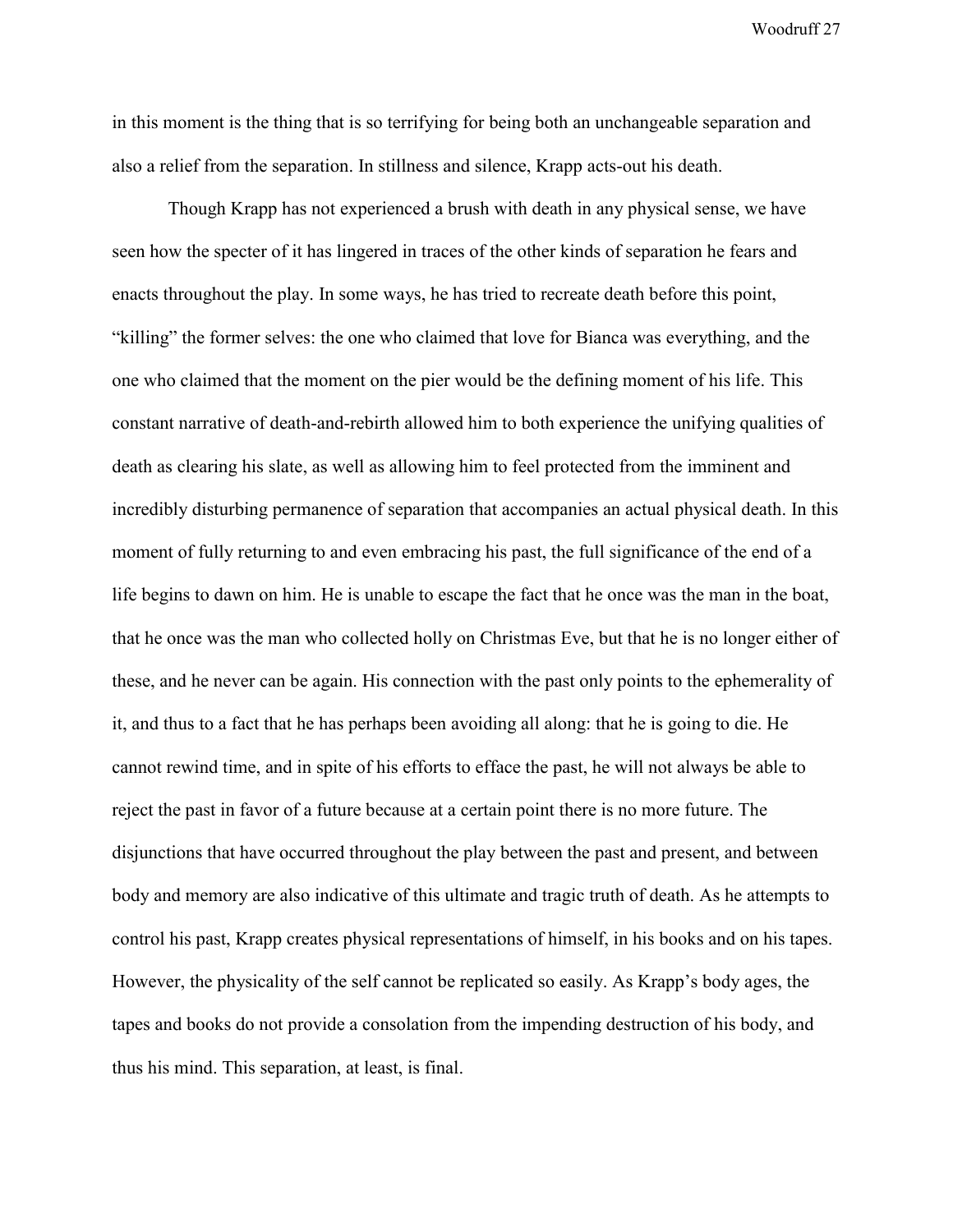in this moment is the thing that is so terrifying for being both an unchangeable separation and also a relief from the separation. In stillness and silence, Krapp acts-out his death.

Though Krapp has not experienced a brush with death in any physical sense, we have seen how the specter of it has lingered in traces of the other kinds of separation he fears and enacts throughout the play. In some ways, he has tried to recreate death before this point, "killing" the former selves: the one who claimed that love for Bianca was everything, and the one who claimed that the moment on the pier would be the defining moment of his life. This constant narrative of death-and-rebirth allowed him to both experience the unifying qualities of death as clearing his slate, as well as allowing him to feel protected from the imminent and incredibly disturbing permanence of separation that accompanies an actual physical death. In this moment of fully returning to and even embracing his past, the full significance of the end of a life begins to dawn on him. He is unable to escape the fact that he once was the man in the boat, that he once was the man who collected holly on Christmas Eve, but that he is no longer either of these, and he never can be again. His connection with the past only points to the ephemerality of it, and thus to a fact that he has perhaps been avoiding all along: that he is going to die. He cannot rewind time, and in spite of his efforts to efface the past, he will not always be able to reject the past in favor of a future because at a certain point there is no more future. The disjunctions that have occurred throughout the play between the past and present, and between body and memory are also indicative of this ultimate and tragic truth of death. As he attempts to control his past, Krapp creates physical representations of himself, in his books and on his tapes. However, the physicality of the self cannot be replicated so easily. As Krapp's body ages, the tapes and books do not provide a consolation from the impending destruction of his body, and thus his mind. This separation, at least, is final.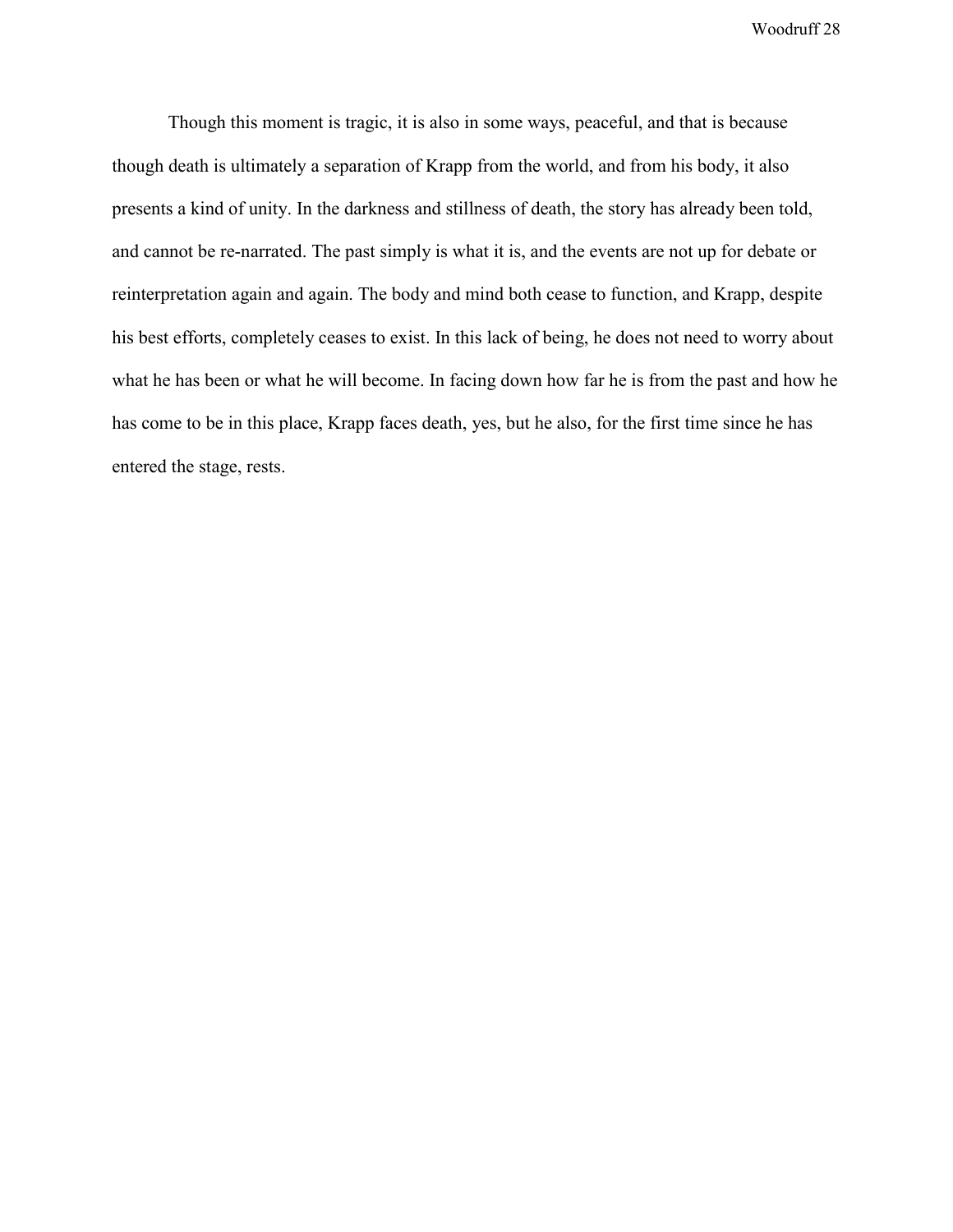Though this moment is tragic, it is also in some ways, peaceful, and that is because though death is ultimately a separation of Krapp from the world, and from his body, it also presents a kind of unity. In the darkness and stillness of death, the story has already been told, and cannot be re-narrated. The past simply is what it is, and the events are not up for debate or reinterpretation again and again. The body and mind both cease to function, and Krapp, despite his best efforts, completely ceases to exist. In this lack of being, he does not need to worry about what he has been or what he will become. In facing down how far he is from the past and how he has come to be in this place, Krapp faces death, yes, but he also, for the first time since he has entered the stage, rests.